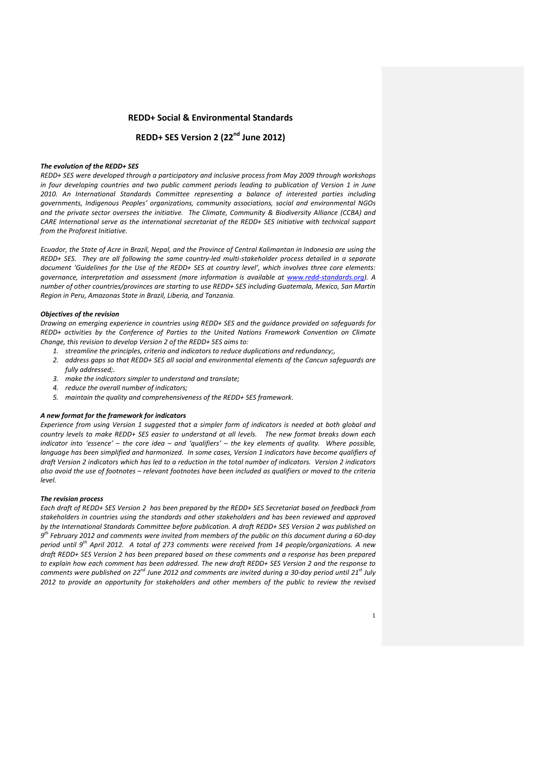# **REDD+ Social & Environmental Standards**

# **REDD+ SES Version 2 (22nd June 2012)**

### *The evolution of the REDD+ SES*

*REDD+ SES were developed through a participatory and inclusive process from May 2009 through workshops in four developing countries and two public comment periods leading to publication of Version 1 in June 2010. An International Standards Committee representing a balance of interested parties including governments, Indigenous Peoples' organizations, community associations, social and environmental NGOs and the private sector oversees the initiative. The Climate, Community & Biodiversity Alliance (CCBA) and CARE International serve as the international secretariat of the REDD+ SES initiative with technical support from the Proforest Initiative.*

*Ecuador, the State of Acre in Brazil, Nepal, and the Province of Central Kalimantan in Indonesia are using the REDD+ SES. They are all following the same country-led multi-stakeholder process detailed in a separate document 'Guidelines for the Use of the REDD+ SES at country level', which involves three core elements: governance, interpretation and assessment (more information is available at [www.redd-standards.org\)](http://www.redd-standards.org/). A number of other countries/provinces are starting to use REDD+ SES including Guatemala, Mexico, San Martin Region in Peru, Amazonas State in Brazil, Liberia, and Tanzania.* 

#### *Objectives of the revision*

*Drawing on emerging experience in countries using REDD+ SES and the guidance provided on safeguards for REDD+ activities by the Conference of Parties to the United Nations Framework Convention on Climate Change, this revision to develop Version 2 of the REDD+ SES aims to:*

- *1. streamline the principles, criteria and indicators to reduce duplications and redundancy;,*
- *2. address gaps so that REDD+ SES all social and environmental elements of the Cancun safeguards are fully addressed;.*
- *3. make the indicators simpler to understand and translate;*
- *4. reduce the overall number of indicators;*
- *5. maintain the quality and comprehensiveness of the REDD+ SES framework.*

#### *A new format for the framework for indicators*

*Experience from using Version 1 suggested that a simpler form of indicators is needed at both global and country levels to make REDD+ SES easier to understand at all levels. The new format breaks down each indicator into 'essence' – the core idea – and 'qualifiers' – the key elements of quality. Where possible, language has been simplified and harmonized. In some cases, Version 1 indicators have become qualifiers of draft Version 2 indicators which has led to a reduction in the total number of indicators. Version 2 indicators also avoid the use of footnotes – relevant footnotes have been included as qualifiers or moved to the criteria level.*

## *The revision process*

*Each draft of REDD+ SES Version 2 has been prepared by the REDD+ SES Secretariat based on feedback from stakeholders in countries using the standards and other stakeholders and has been reviewed and approved by the International Standards Committee before publication. A draft REDD+ SES Version 2 was published on 9 th February 2012 and comments were invited from members of the public on this document during a 60-day period until 9 th April 2012. A total of 273 comments were received from 14 people/organizations. A new draft REDD+ SES Version 2 has been prepared based on these comments and a response has been prepared to explain how each comment has been addressed. The new draft REDD+ SES Version 2 and the response to comments were published on 22nd June 2012 and comments are invited during a 30-day period until 21 st July 2012 to provide an opportunity for stakeholders and other members of the public to review the revised*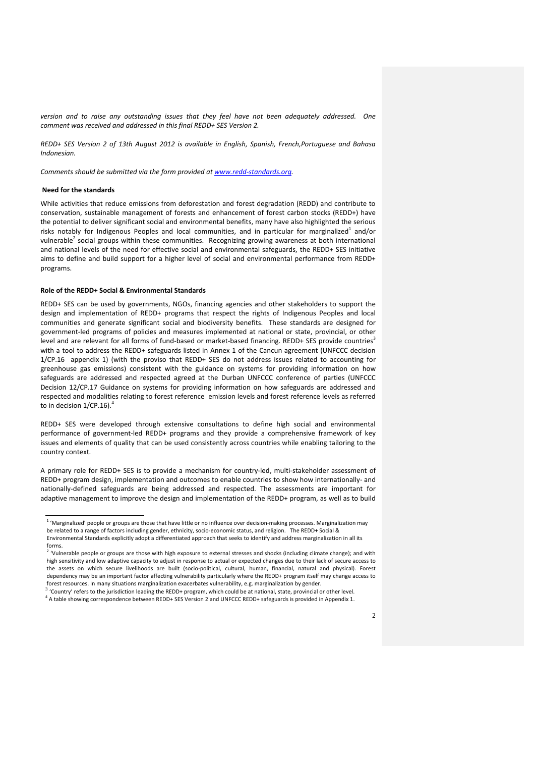*version and to raise any outstanding issues that they feel have not been adequately addressed. One comment was received and addressed in this final REDD+ SES Version 2.*

*REDD+ SES Version 2 of 13th August 2012 is available in English, Spanish, French,Portuguese and Bahasa Indonesian.*

*Comments should be submitted via the form provided at [www.redd-standards.org.](http://www.redd-standards.org/)*

### **Need for the standards**

While activities that reduce emissions from deforestation and forest degradation (REDD) and contribute to conservation, sustainable management of forests and enhancement of forest carbon stocks (REDD+) have the potential to deliver significant social and environmental benefits, many have also highlighted the serious risks notably for Indigenous Peoples and local communities, and in particular for marginalized $^1$  and/or vulnerable<sup>2</sup> social groups within these communities. Recognizing growing awareness at both international and national levels of the need for effective social and environmental safeguards, the REDD+ SES initiative aims to define and build support for a higher level of social and environmental performance from REDD+ programs.

# **Role of the REDD+ Social & Environmental Standards**

REDD+ SES can be used by governments, NGOs, financing agencies and other stakeholders to support the design and implementation of REDD+ programs that respect the rights of Indigenous Peoples and local communities and generate significant social and biodiversity benefits. These standards are designed for government-led programs of policies and measures implemented at national or state, provincial, or other level and are relevant for all forms of fund-based or market-based financing. REDD+ SES provide countries<sup>3</sup> with a tool to address the REDD+ safeguards listed in Annex 1 of the Cancun agreement (UNFCCC decision 1/CP.16 appendix 1) (with the proviso that REDD+ SES do not address issues related to accounting for greenhouse gas emissions) consistent with the guidance on systems for providing information on how safeguards are addressed and respected agreed at the Durban UNFCCC conference of parties (UNFCCC Decision 12/CP.17 Guidance on systems for providing information on how safeguards are addressed and respected and modalities relating to forest reference emission levels and forest reference levels as referred to in decision  $1/CP.16$ ).<sup>4</sup>

REDD+ SES were developed through extensive consultations to define high social and environmental performance of government-led REDD+ programs and they provide a comprehensive framework of key issues and elements of quality that can be used consistently across countries while enabling tailoring to the country context.

A primary role for REDD+ SES is to provide a mechanism for country-led, multi-stakeholder assessment of REDD+ program design, implementation and outcomes to enable countries to show how internationally- and nationally-defined safeguards are being addressed and respected. The assessments are important for adaptive management to improve the design and implementation of the REDD+ program, as well as to build

3 'Country' refers to the jurisdiction leading the REDD+ program, which could be at national, state, provincial or other level. 4 A table showing correspondence between REDD+ SES Version 2 and UNFCCC REDD+ safeguards is provided in Appendix 1.

 1 'Marginalized' people or groups are those that have little or no influence over decision-making processes. Marginalization may be related to a range of factors including gender, ethnicity, socio-economic status, and religion. The REDD+ Social & Environmental Standards explicitly adopt a differentiated approach that seeks to identify and address marginalization in all its

forms.<br><sup>2</sup> 'Vulnerable people or groups are those with high exposure to external stresses and shocks (including climate change); and with high sensitivity and low adaptive capacity to adjust in response to actual or expected changes due to their lack of secure access to the assets on which secure livelihoods are built (socio-political, cultural, human, financial, natural and physical). Forest dependency may be an important factor affecting vulnerability particularly where the REDD+ program itself may change access to forest resources. In many situations marginalization exacerbates vulnerability, e.g. marginalization by gender.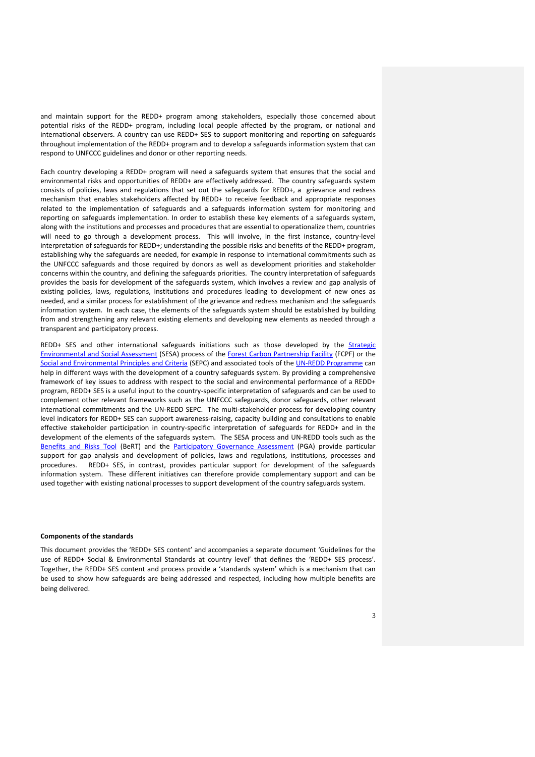and maintain support for the REDD+ program among stakeholders, especially those concerned about potential risks of the REDD+ program, including local people affected by the program, or national and international observers. A country can use REDD+ SES to support monitoring and reporting on safeguards throughout implementation of the REDD+ program and to develop a safeguards information system that can respond to UNFCCC guidelines and donor or other reporting needs.

Each country developing a REDD+ program will need a safeguards system that ensures that the social and environmental risks and opportunities of REDD+ are effectively addressed. The country safeguards system consists of policies, laws and regulations that set out the safeguards for REDD+, a grievance and redress mechanism that enables stakeholders affected by REDD+ to receive feedback and appropriate responses related to the implementation of safeguards and a safeguards information system for monitoring and reporting on safeguards implementation. In order to establish these key elements of a safeguards system, along with the institutions and processes and procedures that are essential to operationalize them, countries will need to go through a development process. This will involve, in the first instance, country-level interpretation of safeguards for REDD+; understanding the possible risks and benefits of the REDD+ program, establishing why the safeguards are needed, for example in response to international commitments such as the UNFCCC safeguards and those required by donors as well as development priorities and stakeholder concerns within the country, and defining the safeguards priorities. The country interpretation of safeguards provides the basis for development of the safeguards system, which involves a review and gap analysis of existing policies, laws, regulations, institutions and procedures leading to development of new ones as needed, and a similar process for establishment of the grievance and redress mechanism and the safeguards information system. In each case, the elements of the safeguards system should be established by building from and strengthening any relevant existing elements and developing new elements as needed through a transparent and participatory process.

REDD+ SES and other international safeguards initiations such as those developed by the Strategic [Environmental and Social Assessment](http://www.forestcarbonpartnership.org/fcp/sites/forestcarbonpartnership.org/files/Documents/PDF/Jun2010/2g_FCPF_FMT_Note_2010_16_SESA_Mainstreaming.pdf) (SESA) process of the [Forest Carbon Partnership Facility](http://www.forestcarbonpartnership.org/fcp/) (FCPF) or th[e](http://www.un-redd.org/Multiple_Benefits/SEPC_BeRT/tabid/991/Default.aspx) [Social and Environmental Principles and Criteria](http://www.un-redd.org/Multiple_Benefits/SEPC_BeRT/tabid/991/Default.aspx) (SEPC) and associated tools of th[e UN-REDD Programme](http://www.un-redd.org/) can help in different ways with the development of a country safeguards system. By providing a comprehensive framework of key issues to address with respect to the social and environmental performance of a REDD+ program, REDD+ SES is a useful input to the country-specific interpretation of safeguards and can be used to complement other relevant frameworks such as the UNFCCC safeguards, donor safeguards, other relevant international commitments and the UN-REDD SEPC. The multi-stakeholder process for developing country level indicators for REDD+ SES can support awareness-raising, capacity building and consultations to enable effective stakeholder participation in country-specific interpretation of safeguards for REDD+ and in the development of the elements of the safeguards system. The SESA process and UN-REDD tools such as the [Benefits and Risks Tool](http://www.un-redd.org/Multiple_Benefits/SEPC_BeRT/tabid/991/Default.aspx) (BeRT) and the **[Participatory Governance Assessment](http://www.gaportal.org/participatory-governance-assessments-redd)** (PGA) provide particular support for gap analysis and development of policies, laws and regulations, institutions, processes and procedures. REDD+ SES, in contrast, provides particular support for development of the safeguards information system. These different initiatives can therefore provide complementary support and can be used together with existing national processes to support development of the country safeguards system.

# **Components of the standards**

This document provides the 'REDD+ SES content' and accompanies a separate document 'Guidelines for the use of REDD+ Social & Environmental Standards at country level' that defines the 'REDD+ SES process'. Together, the REDD+ SES content and process provide a 'standards system' which is a mechanism that can be used to show how safeguards are being addressed and respected, including how multiple benefits are being delivered.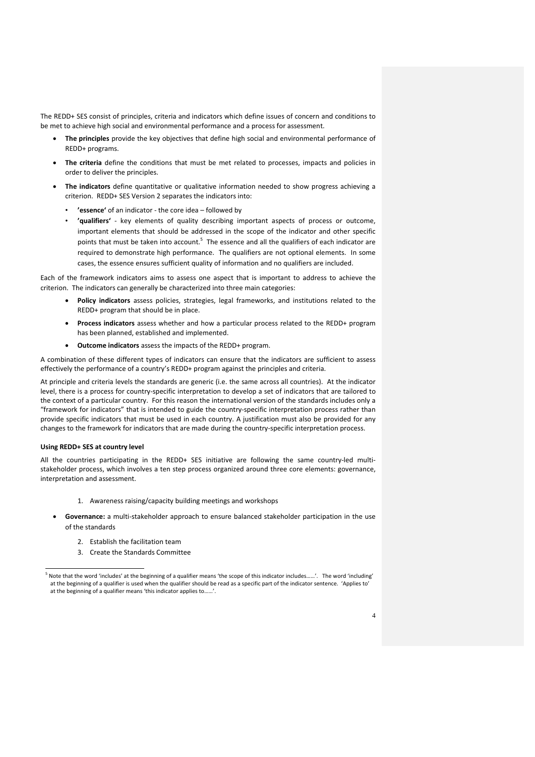The REDD+ SES consist of principles, criteria and indicators which define issues of concern and conditions to be met to achieve high social and environmental performance and a process for assessment.

- **The principles** provide the key objectives that define high social and environmental performance of REDD+ programs.
- **The criteria** define the conditions that must be met related to processes, impacts and policies in order to deliver the principles.
- **The indicators** define quantitative or qualitative information needed to show progress achieving a criterion. REDD+ SES Version 2 separates the indicators into:
	- **'essence'** of an indicator the core idea followed by
	- **'qualifiers'** key elements of quality describing important aspects of process or outcome, important elements that should be addressed in the scope of the indicator and other specific points that must be taken into account.<sup>5</sup> The essence and all the qualifiers of each indicator are required to demonstrate high performance. The qualifiers are not optional elements. In some cases, the essence ensures sufficient quality of information and no qualifiers are included.

Each of the framework indicators aims to assess one aspect that is important to address to achieve the criterion. The indicators can generally be characterized into three main categories:

- **Policy indicators** assess policies, strategies, legal frameworks, and institutions related to the REDD+ program that should be in place.
- **Process indicators** assess whether and how a particular process related to the REDD+ program has been planned, established and implemented.
- **Outcome indicators** assess the impacts of the REDD+ program.

A combination of these different types of indicators can ensure that the indicators are sufficient to assess effectively the performance of a country's REDD+ program against the principles and criteria.

At principle and criteria levels the standards are generic (i.e. the same across all countries). At the indicator level, there is a process for country-specific interpretation to develop a set of indicators that are tailored to the context of a particular country. For this reason the international version of the standards includes only a "framework for indicators" that is intended to guide the country-specific interpretation process rather than provide specific indicators that must be used in each country. A justification must also be provided for any changes to the framework for indicators that are made during the country-specific interpretation process.

# **Using REDD+ SES at country level**

<u>.</u>

All the countries participating in the REDD+ SES initiative are following the same country-led multistakeholder process, which involves a ten step process organized around three core elements: governance, interpretation and assessment.

- 1. Awareness raising/capacity building meetings and workshops
- **Governance:** a multi-stakeholder approach to ensure balanced stakeholder participation in the use of the standards
	- 2. Establish the facilitation team
	- 3. Create the Standards Committee

<sup>&</sup>lt;sup>5</sup> Note that the word 'includes' at the beginning of a qualifier means 'the scope of this indicator includes……'. The word 'including' at the beginning of a qualifier is used when the qualifier should be read as a specific part of the indicator sentence. 'Applies to at the beginning of a qualifier means 'this indicator applies to......'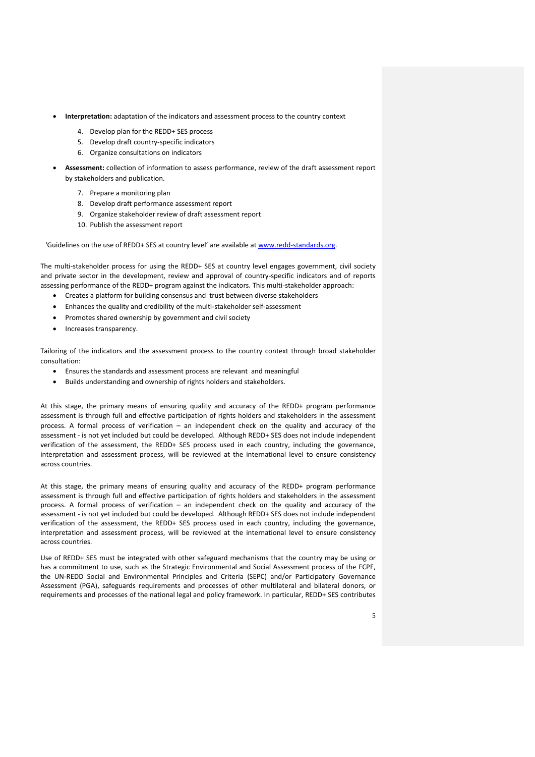- **Interpretation:** adaptation of the indicators and assessment process to the country context
	- 4. Develop plan for the REDD+ SES process
	- 5. Develop draft country-specific indicators
	- 6. Organize consultations on indicators
- **Assessment:** collection of information to assess performance, review of the draft assessment report by stakeholders and publication.
	- 7. Prepare a monitoring plan
	- 8. Develop draft performance assessment report
	- 9. Organize stakeholder review of draft assessment report
	- 10. Publish the assessment report

'Guidelines on the use of REDD+ SES at country level' are available a[t www.redd-standards.org.](http://www.redd-standards.org/)

The multi-stakeholder process for using the REDD+ SES at country level engages government, civil society and private sector in the development, review and approval of country-specific indicators and of reports assessing performance of the REDD+ program against the indicators. This multi-stakeholder approach:

- Creates a platform for building consensus and trust between diverse stakeholders
- Enhances the quality and credibility of the multi-stakeholder self-assessment
- Promotes shared ownership by government and civil society
- Increases transparency.

Tailoring of the indicators and the assessment process to the country context through broad stakeholder consultation:

- Ensures the standards and assessment process are relevant and meaningful
- Builds understanding and ownership of rights holders and stakeholders.

At this stage, the primary means of ensuring quality and accuracy of the REDD+ program performance assessment is through full and effective participation of rights holders and stakeholders in the assessment process. A formal process of verification – an independent check on the quality and accuracy of the assessment - is not yet included but could be developed. Although REDD+ SES does not include independent verification of the assessment, the REDD+ SES process used in each country, including the governance, interpretation and assessment process, will be reviewed at the international level to ensure consistency across countries.

At this stage, the primary means of ensuring quality and accuracy of the REDD+ program performance assessment is through full and effective participation of rights holders and stakeholders in the assessment process. A formal process of verification – an independent check on the quality and accuracy of the assessment - is not yet included but could be developed. Although REDD+ SES does not include independent verification of the assessment, the REDD+ SES process used in each country, including the governance, interpretation and assessment process, will be reviewed at the international level to ensure consistency across countries.

Use of REDD+ SES must be integrated with other safeguard mechanisms that the country may be using or has a commitment to use, such as the Strategic Environmental and Social Assessment process of the FCPF, the UN-REDD Social and Environmental Principles and Criteria (SEPC) and/or Participatory Governance Assessment (PGA), safeguards requirements and processes of other multilateral and bilateral donors, or requirements and processes of the national legal and policy framework. In particular, REDD+ SES contributes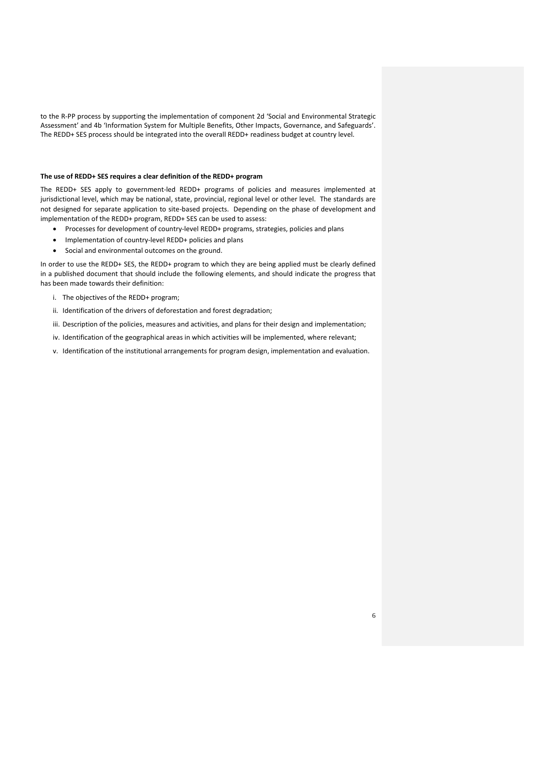to the R-PP process by supporting the implementation of component 2d 'Social and Environmental Strategic Assessment' and 4b 'Information System for Multiple Benefits, Other Impacts, Governance, and Safeguards'. The REDD+ SES process should be integrated into the overall REDD+ readiness budget at country level.

### **The use of REDD+ SES requires a clear definition of the REDD+ program**

The REDD+ SES apply to government-led REDD+ programs of policies and measures implemented at jurisdictional level, which may be national, state, provincial, regional level or other level. The standards are not designed for separate application to site-based projects. Depending on the phase of development and implementation of the REDD+ program, REDD+ SES can be used to assess:

- Processes for development of country-level REDD+ programs, strategies, policies and plans
- Implementation of country-level REDD+ policies and plans
- Social and environmental outcomes on the ground.

In order to use the REDD+ SES, the REDD+ program to which they are being applied must be clearly defined in a published document that should include the following elements, and should indicate the progress that has been made towards their definition:

- i. The objectives of the REDD+ program;
- ii. Identification of the drivers of deforestation and forest degradation;
- iii. Description of the policies, measures and activities, and plans for their design and implementation;
- iv. Identification of the geographical areas in which activities will be implemented, where relevant;
- v. Identification of the institutional arrangements for program design, implementation and evaluation.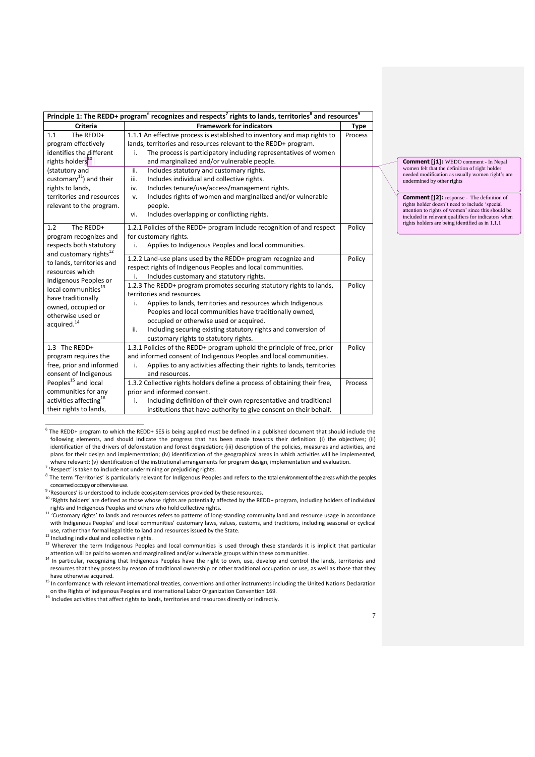| Principle 1: The REDD+ program <sup>6</sup> recognizes and respects <sup>7</sup> rights to lands, territories <sup>8</sup> and resources <sup>9</sup>       |                                                                                                                                                                                                                                                                                                                                                                                                  |             |  |  |
|-------------------------------------------------------------------------------------------------------------------------------------------------------------|--------------------------------------------------------------------------------------------------------------------------------------------------------------------------------------------------------------------------------------------------------------------------------------------------------------------------------------------------------------------------------------------------|-------------|--|--|
| <b>Criteria</b>                                                                                                                                             | <b>Framework for indicators</b>                                                                                                                                                                                                                                                                                                                                                                  | <b>Type</b> |  |  |
| The REDD+<br>1.1<br>program effectively<br>identifies the different<br>rights holders <sup>10</sup>                                                         | 1.1.1 An effective process is established to inventory and map rights to<br>lands, territories and resources relevant to the REDD+ program.<br>The process is participatory including representatives of women<br>i.<br>and marginalized and/or vulnerable people.                                                                                                                               | Process     |  |  |
| (statutory and<br>customary <sup>11</sup> ) and their<br>rights to lands,<br>territories and resources<br>relevant to the program.                          | ii.<br>Includes statutory and customary rights.<br>Includes individual and collective rights.<br>iii.<br>Includes tenure/use/access/management rights.<br>iv.<br>Includes rights of women and marginalized and/or vulnerable<br>v.<br>people.<br>Includes overlapping or conflicting rights.<br>vi.                                                                                              |             |  |  |
| The REDD+<br>1.2<br>program recognizes and<br>respects both statutory<br>and customary rights <sup>12</sup><br>to lands, territories and<br>resources which | 1.2.1 Policies of the REDD+ program include recognition of and respect<br>for customary rights.<br>Applies to Indigenous Peoples and local communities.<br>i.                                                                                                                                                                                                                                    | Policy      |  |  |
|                                                                                                                                                             | 1.2.2 Land-use plans used by the REDD+ program recognize and<br>respect rights of Indigenous Peoples and local communities.<br>Includes customary and statutory rights.<br>i.                                                                                                                                                                                                                    | Policy      |  |  |
| Indigenous Peoples or<br>local communities <sup>13</sup><br>have traditionally<br>owned, occupied or<br>otherwise used or<br>acquired. <sup>14</sup>        | 1.2.3 The REDD+ program promotes securing statutory rights to lands,<br>territories and resources.<br>Applies to lands, territories and resources which Indigenous<br>i.<br>Peoples and local communities have traditionally owned,<br>occupied or otherwise used or acquired.<br>Including securing existing statutory rights and conversion of<br>ii.<br>customary rights to statutory rights. | Policy      |  |  |
| 1.3 The REDD+<br>program requires the<br>free, prior and informed<br>consent of Indigenous                                                                  | 1.3.1 Policies of the REDD+ program uphold the principle of free, prior<br>and informed consent of Indigenous Peoples and local communities.<br>Applies to any activities affecting their rights to lands, territories<br>i.<br>and resources.                                                                                                                                                   | Policy      |  |  |
| Peoples <sup>15</sup> and local<br>communities for any<br>activities affecting <sup>16</sup><br>their rights to lands,                                      | 1.3.2 Collective rights holders define a process of obtaining their free,<br>prior and informed consent.<br>Including definition of their own representative and traditional<br>i.<br>institutions that have authority to give consent on their behalf.                                                                                                                                          | Process     |  |  |

 6 The REDD+ program to which the REDD+ SES is being applied must be defined in a published document that should include the following elements, and should indicate the progress that has been made towards their definition: (i) the objectives; (ii) identification of the drivers of deforestation and forest degradation; (iii) description of the policies, measures and activities, and plans for their design and implementation; (iv) identification of the geographical areas in which activities will be implemented, where relevant; (v) identification of the institutional arrangements for program design, implementation and evaluation.

<sup>7</sup> 'Respect' is taken to include not undermining or prejudicing rights.

 $^8$  The term 'Territories' is particularly relevant for Indigenous Peoples and refers to the total environment of the areas which the peoples concemed occupy or otherwise use.

<sup>9</sup> 'Resources' is understood to include ecosystem services provided by these resources.

<sup>10</sup> 'Rights holders' are defined as those whose rights are potentially affected by the REDD+ program, including holders of individual rights and Indigenous Peoples and others who hold collective rights. <sup>11</sup> 'Customary rights' to lands and resources refers to patterns of long-standing community land and resource usage in accordance

with Indigenous Peoples' and local communities' customary laws, values, customs, and traditions, including seasonal or cyclical use, rather than formal legal title to land and resources issued by the State.

<sup>12</sup> Including individual and collective rights.

<sup>13</sup> Wherever the term Indigenous Peoples and local communities is used through these standards it is implicit that particular

attention will be paid to women and marginalized and/or vulnerable groups within these communities.<br><sup>14</sup> In particular, recognizing that Indigenous Peoples have the right to own, use, develop and control the lands, territo resources that they possess by reason of traditional ownership or other traditional occupation or use, as well as those that they have otherwise acquired.

<sup>15</sup> In conformance with relevant international treaties, conventions and other instruments including the United Nations Declaration on the Rights of Indigenous Peoples and International Labor Organization Convention 169.

<sup>16</sup> Includes activities that affect rights to lands, territories and resources directly or indirectly.

**Comment [j1]:** WEDO comment - In Nepal women felt that the definition of right holder needed modification as usually women right's are undermined by other rights

**Comment [j2]:** response - The definition of rights holder doesn't need to include 'special attention to rights of women' since this should be included in relevant qualifiers for indicators when rights holders are being identified as in 1.1.1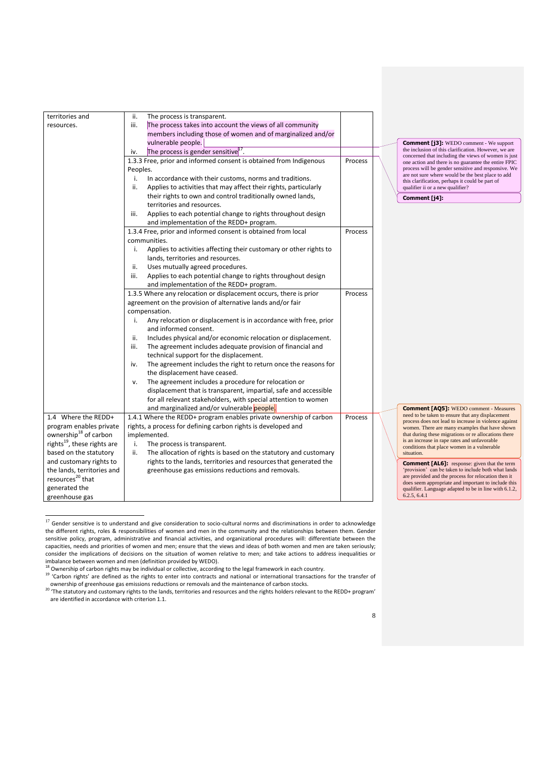| territories and                         | ii.<br>The process is transparent.                                       |         |                                                                                                             |  |
|-----------------------------------------|--------------------------------------------------------------------------|---------|-------------------------------------------------------------------------------------------------------------|--|
| resources.                              | The process takes into account the views of all community<br>iii.        |         |                                                                                                             |  |
|                                         | members including those of women and of marginalized and/or              |         |                                                                                                             |  |
|                                         | vulnerable people.                                                       |         | <b>Comment [j3]:</b> WEDO comment - We support                                                              |  |
|                                         | The process is gender sensitive <sup>17</sup> .<br>iv.                   |         | the inclusion of this clarification. However, we are                                                        |  |
|                                         | 1.3.3 Free, prior and informed consent is obtained from Indigenous       | Process | concerned that including the views of women is just<br>one action and there is no guarantee the entire FPIC |  |
|                                         | Peoples.                                                                 |         | process will be gender sensitive and responsive. We                                                         |  |
|                                         | In accordance with their customs, norms and traditions.<br>i.            |         | are not sure where would be the best place to add<br>this clarification, perhaps it could be part of        |  |
|                                         | Applies to activities that may affect their rights, particularly<br>ii.  |         | qualifier ii or a new qualifier?                                                                            |  |
|                                         | their rights to own and control traditionally owned lands,               |         | Comment [j4]:                                                                                               |  |
|                                         | territories and resources.                                               |         |                                                                                                             |  |
|                                         | iii.<br>Applies to each potential change to rights throughout design     |         |                                                                                                             |  |
|                                         | and implementation of the REDD+ program.                                 |         |                                                                                                             |  |
|                                         | 1.3.4 Free, prior and informed consent is obtained from local            | Process |                                                                                                             |  |
|                                         | communities.                                                             |         |                                                                                                             |  |
|                                         | i.<br>Applies to activities affecting their customary or other rights to |         |                                                                                                             |  |
|                                         | lands, territories and resources.                                        |         |                                                                                                             |  |
|                                         | Uses mutually agreed procedures.<br>ii.                                  |         |                                                                                                             |  |
|                                         | iii.<br>Applies to each potential change to rights throughout design     |         |                                                                                                             |  |
|                                         | and implementation of the REDD+ program.                                 |         |                                                                                                             |  |
|                                         | 1.3.5 Where any relocation or displacement occurs, there is prior        | Process |                                                                                                             |  |
|                                         | agreement on the provision of alternative lands and/or fair              |         |                                                                                                             |  |
|                                         | compensation.                                                            |         |                                                                                                             |  |
|                                         | Any relocation or displacement is in accordance with free, prior<br>i.   |         |                                                                                                             |  |
|                                         | and informed consent.                                                    |         |                                                                                                             |  |
|                                         | Includes physical and/or economic relocation or displacement.<br>ii.     |         |                                                                                                             |  |
|                                         | The agreement includes adequate provision of financial and<br>iii.       |         |                                                                                                             |  |
|                                         | technical support for the displacement.                                  |         |                                                                                                             |  |
|                                         | The agreement includes the right to return once the reasons for<br>iv.   |         |                                                                                                             |  |
|                                         | the displacement have ceased.                                            |         |                                                                                                             |  |
|                                         | The agreement includes a procedure for relocation or<br>v.               |         |                                                                                                             |  |
|                                         | displacement that is transparent, impartial, safe and accessible         |         |                                                                                                             |  |
|                                         | for all relevant stakeholders, with special attention to women           |         |                                                                                                             |  |
|                                         | and marginalized and/or vulnerable people.                               |         | <b>Comment [AQ5]:</b> WEDO comment - Measures                                                               |  |
| 1.4 Where the REDD+                     | 1.4.1 Where the REDD+ program enables private ownership of carbon        | Process | need to be taken to ensure that any displacement                                                            |  |
| program enables private                 | rights, a process for defining carbon rights is developed and            |         | process does not lead to increase in violence agains<br>women. There are many examples that have shown      |  |
| ownership <sup>18</sup> of carbon       | implemented.                                                             |         | that during these migrations or re allocations there                                                        |  |
| rights <sup>19</sup> , these rights are | i.<br>The process is transparent.                                        |         | is an increase in rape rates and unfavorable                                                                |  |
| based on the statutory                  | ii.<br>The allocation of rights is based on the statutory and customary  |         | conditions that place women in a vulnerable<br>situation.                                                   |  |
| and customary rights to                 | rights to the lands, territories and resources that generated the        |         |                                                                                                             |  |
| the lands, territories and              | greenhouse gas emissions reductions and removals.                        |         | <b>Comment [AL6]:</b> response: given that the term<br>'provision' can be taken to include both what lands  |  |
| resources <sup>20</sup> that            |                                                                          |         | are provided and the process for relocation then it                                                         |  |
| generated the                           |                                                                          |         | does seem appropriate and important to include this<br>qualifier. Language adapted to be in line with 6.1.2 |  |
| greenhouse gas                          |                                                                          |         | 6.2.5, 6.4.1                                                                                                |  |
|                                         |                                                                          |         |                                                                                                             |  |

 $^{17}$  Gender sensitive is to understand and give consideration to socio-cultural norms and discriminations in order to acknowledge the different rights, roles & responsibilities of women and men in the community and the relationships between them. Gender sensitive policy, program, administrative and financial activities, and organizational procedures will: differentiate between the capacities, needs and priorities of women and men; ensure that the views and ideas of both women and men are taken seriously; consider the implications of decisions on the situation of women relative to men; and take actions to address inequalities or

imbalance between women and men (definition provided by WEDO).<br><sup>18</sup> Ownership of carbon rights may be individual or collective, according to the legal framework in each country.

<sup>&</sup>lt;sup>19</sup> 'Carbon rights' are defined as the rights to enter into contracts and national or international transactions for the transfer of

ownership of greenhouse gas emissions reductions or removals and the maintenance of carbon stocks. <sup>20</sup> The statutory and customary rights to the lands, territories and resources and the rights holders relevant to the REDD+ program' are identified in accordance with criterion 1.1.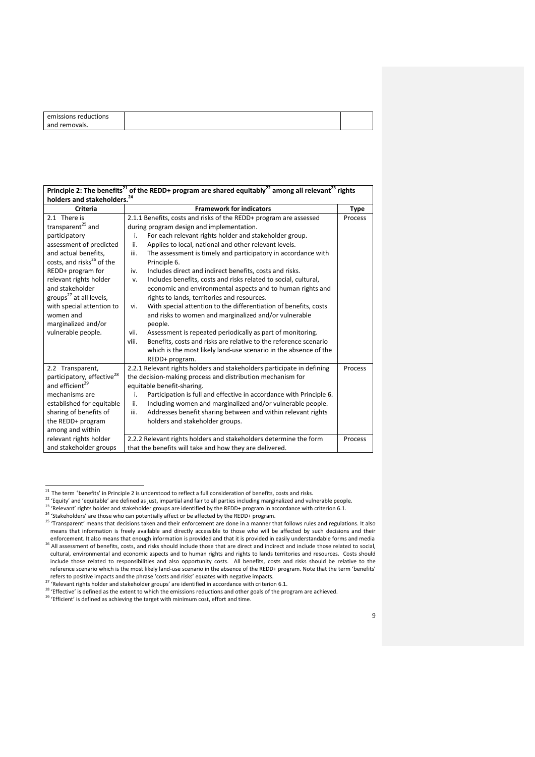| emissions reductions |  |
|----------------------|--|
| and removals.        |  |
|                      |  |

| Principle 2: The benefits <sup>21</sup> of the REDD+ program are shared equitably <sup>22</sup> among all relevant <sup>23</sup> rights |                                                                           |             |  |  |
|-----------------------------------------------------------------------------------------------------------------------------------------|---------------------------------------------------------------------------|-------------|--|--|
| holders and stakeholders. <sup>24</sup>                                                                                                 |                                                                           |             |  |  |
| <b>Criteria</b>                                                                                                                         | <b>Framework for indicators</b>                                           | <b>Type</b> |  |  |
| 2.1 There is                                                                                                                            | 2.1.1 Benefits, costs and risks of the REDD+ program are assessed         | Process     |  |  |
| transparent <sup>25</sup> and                                                                                                           | during program design and implementation.                                 |             |  |  |
| participatory                                                                                                                           | For each relevant rights holder and stakeholder group.<br>i.              |             |  |  |
| assessment of predicted                                                                                                                 | Applies to local, national and other relevant levels.<br>ii.              |             |  |  |
| and actual benefits,                                                                                                                    | iii.<br>The assessment is timely and participatory in accordance with     |             |  |  |
| costs, and risks <sup>26</sup> of the                                                                                                   | Principle 6.                                                              |             |  |  |
| REDD+ program for                                                                                                                       | Includes direct and indirect benefits, costs and risks.<br>iv.            |             |  |  |
| relevant rights holder                                                                                                                  | Includes benefits, costs and risks related to social, cultural,<br>v.     |             |  |  |
| and stakeholder                                                                                                                         | economic and environmental aspects and to human rights and                |             |  |  |
| groups <sup>27</sup> at all levels,                                                                                                     | rights to lands, territories and resources.                               |             |  |  |
| with special attention to                                                                                                               | With special attention to the differentiation of benefits, costs<br>vi.   |             |  |  |
| women and                                                                                                                               | and risks to women and marginalized and/or vulnerable                     |             |  |  |
| marginalized and/or                                                                                                                     | people.                                                                   |             |  |  |
| vulnerable people.                                                                                                                      | Assessment is repeated periodically as part of monitoring.<br>vii.        |             |  |  |
|                                                                                                                                         | Benefits, costs and risks are relative to the reference scenario<br>viii. |             |  |  |
|                                                                                                                                         | which is the most likely land-use scenario in the absence of the          |             |  |  |
|                                                                                                                                         | REDD+ program.                                                            |             |  |  |
| 2.2 Transparent,                                                                                                                        | 2.2.1 Relevant rights holders and stakeholders participate in defining    | Process     |  |  |
| participatory, effective <sup>28</sup>                                                                                                  | the decision-making process and distribution mechanism for                |             |  |  |
| and efficient <sup>29</sup>                                                                                                             | equitable benefit-sharing.                                                |             |  |  |
| mechanisms are                                                                                                                          | Participation is full and effective in accordance with Principle 6.<br>i. |             |  |  |
| established for equitable                                                                                                               | Including women and marginalized and/or vulnerable people.<br>ii.         |             |  |  |
| sharing of benefits of                                                                                                                  | Addresses benefit sharing between and within relevant rights<br>iii.      |             |  |  |
| the REDD+ program                                                                                                                       | holders and stakeholder groups.                                           |             |  |  |
| among and within                                                                                                                        |                                                                           |             |  |  |
| relevant rights holder                                                                                                                  | 2.2.2 Relevant rights holders and stakeholders determine the form         | Process     |  |  |
| and stakeholder groups                                                                                                                  | that the benefits will take and how they are delivered.                   |             |  |  |

 $^{21}$  The term 'benefits' in Principle 2 is understood to reflect a full consideration of benefits, costs and risks.

<sup>22</sup> 'Equity' and 'equitable' are defined as just, impartial and fair to all parties including marginalized and vulnerable people.

<sup>&</sup>lt;sup>23</sup> 'Relevant' rights holder and stakeholder groups are identified by the REDD+ program in accordance with criterion 6.1.

<sup>24 &#</sup>x27;Stakeholders' are those who can potentially affect or be affected by the REDD+ program.

<sup>&</sup>lt;sup>25</sup> 'Transparent' means that decisions taken and their enforcement are done in a manner that follows rules and regulations. It also means that information is freely available and directly accessible to those who will be affected by such decisions and their enforcement. It also means that enough information is provided and that it is provided in easily understandable forms and media 26 All assessment of benefits, costs, and risks should include those that are direct and indirect and include those related to social, cultural, environmental and economic aspects and to human rights and rights to lands territories and resources. Costs should include those related to responsibilities and also opportunity costs. All benefits, costs and risks should be relative to the reference scenario which is the most likely land-use scenario in the absence of the REDD+ program. Note that the term 'benefits'

refers to positive impacts and the phrase 'costs and risks' equates with negative impacts. <sup>27</sup> 'Relevant rights holder and stakeholder groups' are identified in accordance with criterion 6.1.

<sup>28 &#</sup>x27;Effective' is defined as the extent to which the emissions reductions and other goals of the program are achieved.

<sup>29 &#</sup>x27;Efficient' is defined as achieving the target with minimum cost, effort and time.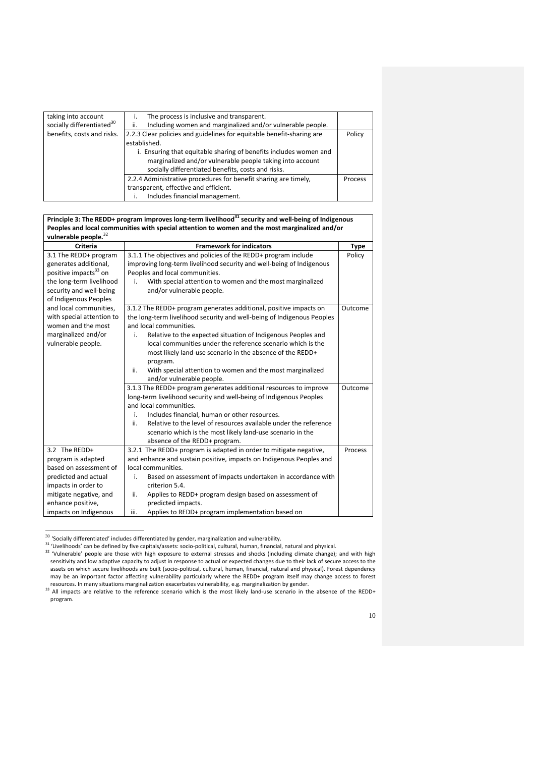| taking into account<br>The process is inclusive and transparent.                                           |         |
|------------------------------------------------------------------------------------------------------------|---------|
| socially differentiated <sup>30</sup><br>Including women and marginalized and/or vulnerable people.<br>ii. |         |
| benefits, costs and risks.<br>2.2.3 Clear policies and guidelines for equitable benefit-sharing are        | Policy  |
| established.                                                                                               |         |
| i. Ensuring that equitable sharing of benefits includes women and                                          |         |
| marginalized and/or vulnerable people taking into account                                                  |         |
| socially differentiated benefits, costs and risks.                                                         |         |
| 2.2.4 Administrative procedures for benefit sharing are timely,                                            | Process |
| transparent, effective and efficient.                                                                      |         |
| Includes financial management.                                                                             |         |

# **Principle 3: The REDD+ program improves long-term livelihood<sup>31</sup> security and well-being of Indigenous Peoples and local communities with special attention to women and the most marginalized and/or vulnerable people.**<sup>32</sup>

| Criteria                          | <b>Framework for indicators</b>                                         | <b>Type</b> |
|-----------------------------------|-------------------------------------------------------------------------|-------------|
| 3.1 The REDD+ program             | 3.1.1 The objectives and policies of the REDD+ program include          | Policy      |
| generates additional,             | improving long-term livelihood security and well-being of Indigenous    |             |
| positive impacts <sup>33</sup> on | Peoples and local communities.                                          |             |
| the long-term livelihood          | With special attention to women and the most marginalized<br>i.         |             |
| security and well-being           | and/or vulnerable people.                                               |             |
| of Indigenous Peoples             |                                                                         |             |
| and local communities,            | 3.1.2 The REDD+ program generates additional, positive impacts on       | Outcome     |
| with special attention to         | the long-term livelihood security and well-being of Indigenous Peoples  |             |
| women and the most                | and local communities.                                                  |             |
| marginalized and/or               | Relative to the expected situation of Indigenous Peoples and<br>i.      |             |
| vulnerable people.                | local communities under the reference scenario which is the             |             |
|                                   | most likely land-use scenario in the absence of the REDD+               |             |
|                                   | program.                                                                |             |
|                                   | With special attention to women and the most marginalized<br>ii.        |             |
|                                   | and/or vulnerable people.                                               |             |
|                                   | 3.1.3 The REDD+ program generates additional resources to improve       | Outcome     |
|                                   | long-term livelihood security and well-being of Indigenous Peoples      |             |
|                                   | and local communities.                                                  |             |
|                                   | Includes financial, human or other resources.<br>i.                     |             |
|                                   | Relative to the level of resources available under the reference<br>ii. |             |
|                                   | scenario which is the most likely land-use scenario in the              |             |
|                                   | absence of the REDD+ program.                                           |             |
| 3.2 The REDD+                     | 3.2.1 The REDD+ program is adapted in order to mitigate negative,       | Process     |
| program is adapted                | and enhance and sustain positive, impacts on Indigenous Peoples and     |             |
| based on assessment of            | local communities.                                                      |             |
| predicted and actual              | Based on assessment of impacts undertaken in accordance with<br>i.      |             |
| impacts in order to               | criterion 5.4.                                                          |             |
| mitigate negative, and            | ii.<br>Applies to REDD+ program design based on assessment of           |             |
| enhance positive,                 | predicted impacts.                                                      |             |
| impacts on Indigenous             | Applies to REDD+ program implementation based on<br>iii.                |             |

 $30\,$  'Socially differentiated' includes differentiated by gender, marginalization and vulnerability.

1

<sup>31</sup> 'Livelihoods' can be defined by five capitals/assets: socio-political, cultural, human, financial, natural and physical.

<sup>&</sup>lt;sup>32</sup> 'Vulnerable' people are those with high exposure to external stresses and shocks (including climate change); and with high sensitivity and low adaptive capacity to adjust in response to actual or expected changes due to their lack of secure access to the assets on which secure livelihoods are built (socio-political, cultural, human, financial, natural and physical). Forest dependency may be an important factor affecting vulnerability particularly where the REDD+ program itself may change access to forest resources. In many situations marginalization exacerbates vulnerability, e.g. marginalization by gender.

<sup>&</sup>lt;sup>33</sup> All impacts are relative to the reference scenario which is the most likely land-use scenario in the absence of the REDD+ program.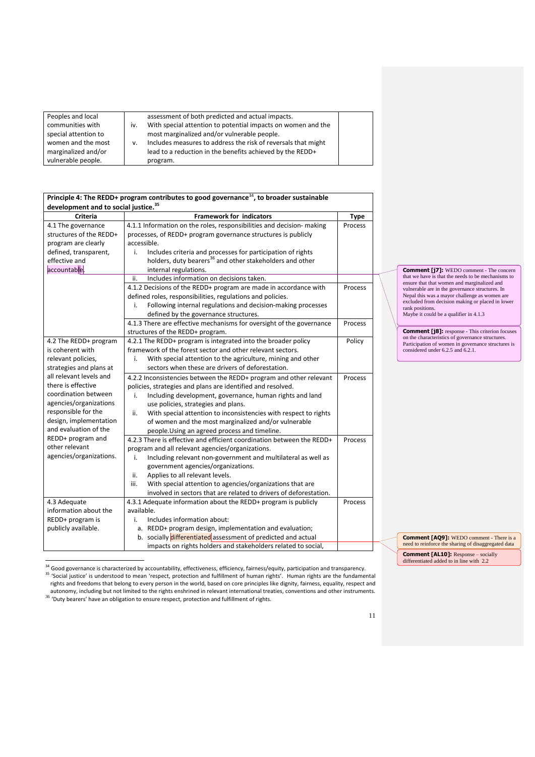| Peoples and local    |     | assessment of both predicted and actual impacts.              |  |
|----------------------|-----|---------------------------------------------------------------|--|
| communities with     | IV. | With special attention to potential impacts on women and the  |  |
| special attention to |     | most marginalized and/or vulnerable people.                   |  |
| women and the most   | v.  | Includes measures to address the risk of reversals that might |  |
| marginalized and/or  |     | lead to a reduction in the benefits achieved by the REDD+     |  |
| vulnerable people.   |     | program.                                                      |  |

| Principle 4: The REDD+ program contributes to good governance <sup>34</sup> , to broader sustainable |                                                                         |             |  |  |
|------------------------------------------------------------------------------------------------------|-------------------------------------------------------------------------|-------------|--|--|
| development and to social justice. <sup>35</sup>                                                     |                                                                         |             |  |  |
| <b>Criteria</b>                                                                                      | <b>Framework for indicators</b>                                         | <b>Type</b> |  |  |
| 4.1 The governance                                                                                   | 4.1.1 Information on the roles, responsibilities and decision- making   | Process     |  |  |
| structures of the REDD+                                                                              | processes, of REDD+ program governance structures is publicly           |             |  |  |
| program are clearly                                                                                  | accessible.                                                             |             |  |  |
| defined, transparent,                                                                                | Includes criteria and processes for participation of rights<br>i.       |             |  |  |
| effective and                                                                                        | holders, duty bearers <sup>36</sup> and other stakeholders and other    |             |  |  |
| accountable.                                                                                         | internal regulations.                                                   |             |  |  |
|                                                                                                      | Includes information on decisions taken.<br>ii.                         |             |  |  |
|                                                                                                      | 4.1.2 Decisions of the REDD+ program are made in accordance with        | Process     |  |  |
|                                                                                                      | defined roles, responsibilities, regulations and policies.              |             |  |  |
|                                                                                                      | Following internal regulations and decision-making processes<br>i.      |             |  |  |
|                                                                                                      | defined by the governance structures.                                   |             |  |  |
|                                                                                                      | 4.1.3 There are effective mechanisms for oversight of the governance    | Process     |  |  |
|                                                                                                      | structures of the REDD+ program.                                        |             |  |  |
| 4.2 The REDD+ program                                                                                | 4.2.1 The REDD+ program is integrated into the broader policy           | Policy      |  |  |
| is coherent with                                                                                     | framework of the forest sector and other relevant sectors.              |             |  |  |
| relevant policies,                                                                                   | With special attention to the agriculture, mining and other<br>i.       |             |  |  |
| strategies and plans at                                                                              | sectors when these are drivers of deforestation.                        |             |  |  |
| all relevant levels and                                                                              | 4.2.2 Inconsistencies between the REDD+ program and other relevant      | Process     |  |  |
| there is effective                                                                                   | policies, strategies and plans are identified and resolved.             |             |  |  |
| coordination between                                                                                 | Including development, governance, human rights and land<br>i.          |             |  |  |
| agencies/organizations                                                                               | use policies, strategies and plans.                                     |             |  |  |
| responsible for the                                                                                  | With special attention to inconsistencies with respect to rights<br>ii. |             |  |  |
| design, implementation                                                                               | of women and the most marginalized and/or vulnerable                    |             |  |  |
| and evaluation of the                                                                                | people. Using an agreed process and timeline.                           |             |  |  |
| REDD+ program and                                                                                    | 4.2.3 There is effective and efficient coordination between the REDD+   | Process     |  |  |
| other relevant                                                                                       | program and all relevant agencies/organizations.                        |             |  |  |
| agencies/organizations.                                                                              | Including relevant non-government and multilateral as well as<br>i.     |             |  |  |
|                                                                                                      | government agencies/organizations.                                      |             |  |  |
|                                                                                                      | Applies to all relevant levels.<br>ii.                                  |             |  |  |
|                                                                                                      | iii.<br>With special attention to agencies/organizations that are       |             |  |  |
|                                                                                                      | involved in sectors that are related to drivers of deforestation.       |             |  |  |
| 4.3 Adequate                                                                                         | 4.3.1 Adequate information about the REDD+ program is publicly          | Process     |  |  |
| information about the                                                                                | available.                                                              |             |  |  |
| REDD+ program is                                                                                     | Includes information about:<br>i.                                       |             |  |  |
| publicly available.                                                                                  | a. REDD+ program design, implementation and evaluation;                 |             |  |  |
|                                                                                                      | b. socially differentiated assessment of predicted and actual           |             |  |  |
|                                                                                                      | impacts on rights holders and stakeholders related to social,           |             |  |  |

**Comment [j7]:** WEDO comment - The concern that we have is that the needs to be mechanisms to ensure that that women and marginalized and vulnerable are in the governance structures. In Nepal this was a mayor challenge as women are excluded from decision making or placed in lower rank positions. Maybe it could be a qualifier in 4.1.3

**Comment [j8]:** response - This criterion focuses on the characteristics of governance structures. Participation of women in governance structures is considered under 6.2.5 and 6.2.1.

**Comment [AQ9]:** WEDO comment - There is a need to reinforce the sharing of disaggregated data

**Comment [AL10]:** Response – socially differentiated added to in line with 2.2

<u>.</u>  $34$  Good governance is characterized by accountability, effectiveness, efficiency, fairness/equity, participation and transparency.

<sup>35</sup> 'Social justice' is understood to mean 'respect, protection and fulfillment of human rights'. Human rights are the fundamental rights and freedoms that belong to every person in the world, based on core principles like dignity, fairness, equality, respect and autonomy, including but not limited to the rights enshrined in relevant international treaties, conventions and other instruments.<br><sup>36</sup> 'Duty bearers' have an obligation to ensure respect, protection and fulfillment of rig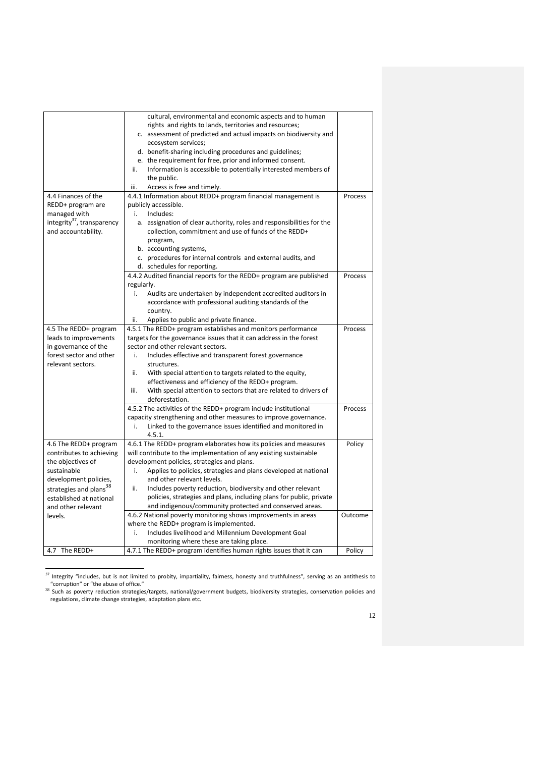|                                        | cultural, environmental and economic aspects and to human                |         |
|----------------------------------------|--------------------------------------------------------------------------|---------|
|                                        | rights and rights to lands, territories and resources;                   |         |
|                                        | c. assessment of predicted and actual impacts on biodiversity and        |         |
|                                        | ecosystem services;                                                      |         |
|                                        | d. benefit-sharing including procedures and guidelines;                  |         |
|                                        | e. the requirement for free, prior and informed consent.                 |         |
|                                        | Information is accessible to potentially interested members of<br>ii.    |         |
|                                        | the public.                                                              |         |
|                                        | Access is free and timely.<br>iii.                                       |         |
| 4.4 Finances of the                    | 4.4.1 Information about REDD+ program financial management is            | Process |
| REDD+ program are                      | publicly accessible.                                                     |         |
| managed with                           | Includes:<br>i.                                                          |         |
| integrity <sup>37</sup> , transparency | a. assignation of clear authority, roles and responsibilities for the    |         |
| and accountability.                    | collection, commitment and use of funds of the REDD+                     |         |
|                                        | program,                                                                 |         |
|                                        | b. accounting systems,                                                   |         |
|                                        | c. procedures for internal controls and external audits, and             |         |
|                                        | d. schedules for reporting.                                              |         |
|                                        | 4.4.2 Audited financial reports for the REDD+ program are published      | Process |
|                                        | regularly.                                                               |         |
|                                        | i.<br>Audits are undertaken by independent accredited auditors in        |         |
|                                        | accordance with professional auditing standards of the                   |         |
|                                        | country.                                                                 |         |
|                                        | Applies to public and private finance.<br>ii.                            |         |
| 4.5 The REDD+ program                  | 4.5.1 The REDD+ program establishes and monitors performance             | Process |
| leads to improvements                  | targets for the governance issues that it can address in the forest      |         |
| in governance of the                   | sector and other relevant sectors.                                       |         |
| forest sector and other                | Includes effective and transparent forest governance<br>i.               |         |
| relevant sectors.                      | structures.                                                              |         |
|                                        | With special attention to targets related to the equity,<br>ii.          |         |
|                                        | effectiveness and efficiency of the REDD+ program.                       |         |
|                                        | With special attention to sectors that are related to drivers of<br>iii. |         |
|                                        | deforestation.                                                           |         |
|                                        | 4.5.2 The activities of the REDD+ program include institutional          | Process |
|                                        | capacity strengthening and other measures to improve governance.         |         |
|                                        | Linked to the governance issues identified and monitored in<br>i.        |         |
|                                        | 4.5.1.                                                                   |         |
| 4.6 The REDD+ program                  | 4.6.1 The REDD+ program elaborates how its policies and measures         | Policy  |
| contributes to achieving               | will contribute to the implementation of any existing sustainable        |         |
| the objectives of                      | development policies, strategies and plans.                              |         |
| sustainable                            | Applies to policies, strategies and plans developed at national<br>i.    |         |
| development policies,                  | and other relevant levels.                                               |         |
| strategies and plans <sup>38</sup>     | ii.<br>Includes poverty reduction, biodiversity and other relevant       |         |
| established at national                | policies, strategies and plans, including plans for public, private      |         |
| and other relevant                     | and indigenous/community protected and conserved areas.                  |         |
| levels.                                | 4.6.2 National poverty monitoring shows improvements in areas            | Outcome |
|                                        | where the REDD+ program is implemented.                                  |         |
|                                        | Includes livelihood and Millennium Development Goal<br>i.                |         |
|                                        | monitoring where these are taking place.                                 |         |
| 4.7 The REDD+                          | 4.7.1 The REDD+ program identifies human rights issues that it can       | Policy  |

 $37$  Integrity "includes, but is not limited to probity, impartiality, fairness, honesty and truthfulness", serving as an antithesis to

<sup>&</sup>quot;corruption" or "the abuse of office."<br><sup>38</sup> Such as poverty reduction strategies/targets, national/government budgets, biodiversity strategies, conservation policies and regulations, climate change strategies, adaptation plans etc.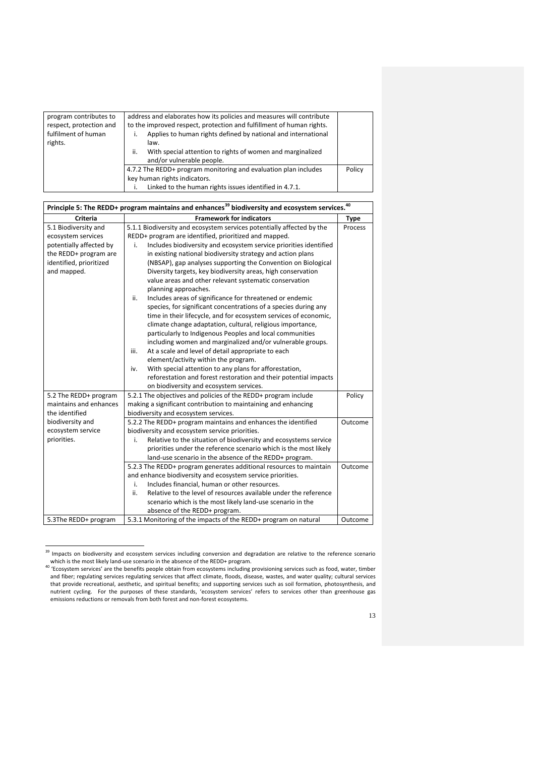| program contributes to<br>respect, protection and<br>fulfilment of human<br>rights. | address and elaborates how its policies and measures will contribute<br>to the improved respect, protection and fulfillment of human rights.<br>Applies to human rights defined by national and international<br>law.<br>With special attention to rights of women and marginalized<br>ii.<br>and/or vulnerable people. |        |
|-------------------------------------------------------------------------------------|-------------------------------------------------------------------------------------------------------------------------------------------------------------------------------------------------------------------------------------------------------------------------------------------------------------------------|--------|
|                                                                                     | 4.7.2 The REDD+ program monitoring and evaluation plan includes<br>key human rights indicators.<br>Linked to the human rights issues identified in 4.7.1.                                                                                                                                                               | Policy |

| Principle 5: The REDD+ program maintains and enhances <sup>39</sup> biodiversity and ecosystem services. <sup>40</sup>                   |                                                                                                                                                                                                                                                                                                                                                                                                                                                                                                                                                                                                                                                                                                                                                                                                                                                                                                                                                                                                                                                                                                                                                                                     |                    |  |  |
|------------------------------------------------------------------------------------------------------------------------------------------|-------------------------------------------------------------------------------------------------------------------------------------------------------------------------------------------------------------------------------------------------------------------------------------------------------------------------------------------------------------------------------------------------------------------------------------------------------------------------------------------------------------------------------------------------------------------------------------------------------------------------------------------------------------------------------------------------------------------------------------------------------------------------------------------------------------------------------------------------------------------------------------------------------------------------------------------------------------------------------------------------------------------------------------------------------------------------------------------------------------------------------------------------------------------------------------|--------------------|--|--|
| <b>Criteria</b>                                                                                                                          | <b>Framework for indicators</b>                                                                                                                                                                                                                                                                                                                                                                                                                                                                                                                                                                                                                                                                                                                                                                                                                                                                                                                                                                                                                                                                                                                                                     | <b>Type</b>        |  |  |
| 5.1 Biodiversity and<br>ecosystem services<br>potentially affected by<br>the REDD+ program are<br>identified, prioritized<br>and mapped. | 5.1.1 Biodiversity and ecosystem services potentially affected by the<br>REDD+ program are identified, prioritized and mapped.<br>Includes biodiversity and ecosystem service priorities identified<br>i.<br>in existing national biodiversity strategy and action plans<br>(NBSAP), gap analyses supporting the Convention on Biological<br>Diversity targets, key biodiversity areas, high conservation<br>value areas and other relevant systematic conservation<br>planning approaches.<br>Includes areas of significance for threatened or endemic<br>ii.<br>species, for significant concentrations of a species during any<br>time in their lifecycle, and for ecosystem services of economic,<br>climate change adaptation, cultural, religious importance,<br>particularly to Indigenous Peoples and local communities<br>including women and marginalized and/or vulnerable groups.<br>iii.<br>At a scale and level of detail appropriate to each<br>element/activity within the program.<br>With special attention to any plans for afforestation,<br>iv.<br>reforestation and forest restoration and their potential impacts<br>on biodiversity and ecosystem services. | Process            |  |  |
| 5.2 The REDD+ program<br>maintains and enhances<br>the identified                                                                        | 5.2.1 The objectives and policies of the REDD+ program include<br>making a significant contribution to maintaining and enhancing<br>biodiversity and ecosystem services.                                                                                                                                                                                                                                                                                                                                                                                                                                                                                                                                                                                                                                                                                                                                                                                                                                                                                                                                                                                                            | Policy             |  |  |
| biodiversity and<br>ecosystem service<br>priorities.                                                                                     | 5.2.2 The REDD+ program maintains and enhances the identified<br>biodiversity and ecosystem service priorities.<br>Relative to the situation of biodiversity and ecosystems service<br>i.<br>priorities under the reference scenario which is the most likely<br>land-use scenario in the absence of the REDD+ program.                                                                                                                                                                                                                                                                                                                                                                                                                                                                                                                                                                                                                                                                                                                                                                                                                                                             | Outcome            |  |  |
| 5.3The REDD+ program                                                                                                                     | 5.2.3 The REDD+ program generates additional resources to maintain<br>and enhance biodiversity and ecosystem service priorities.<br>Includes financial, human or other resources.<br>i.<br>Relative to the level of resources available under the reference<br>ii.<br>scenario which is the most likely land-use scenario in the<br>absence of the REDD+ program.<br>5.3.1 Monitoring of the impacts of the REDD+ program on natural                                                                                                                                                                                                                                                                                                                                                                                                                                                                                                                                                                                                                                                                                                                                                | Outcome<br>Outcome |  |  |

<sup>&</sup>lt;u>.</u> <sup>39</sup> Impacts on biodiversity and ecosystem services including conversion and degradation are relative to the reference scenario

which is the most likely land-use scenario in the absence of the REDD+ program.<br><sup>40</sup> 'Ecosystem services' are the benefits people obtain from ecosystems including provisioning services such as food, water, timber and fiber; regulating services regulating services that affect climate, floods, disease, wastes, and water quality; cultural services that provide recreational, aesthetic, and spiritual benefits; and supporting services such as soil formation, photosynthesis, and nutrient cycling. For the purposes of these standards, 'ecosystem services' refers to services other than greenhouse gas emissions reductions or removals from both forest and non-forest ecosystems.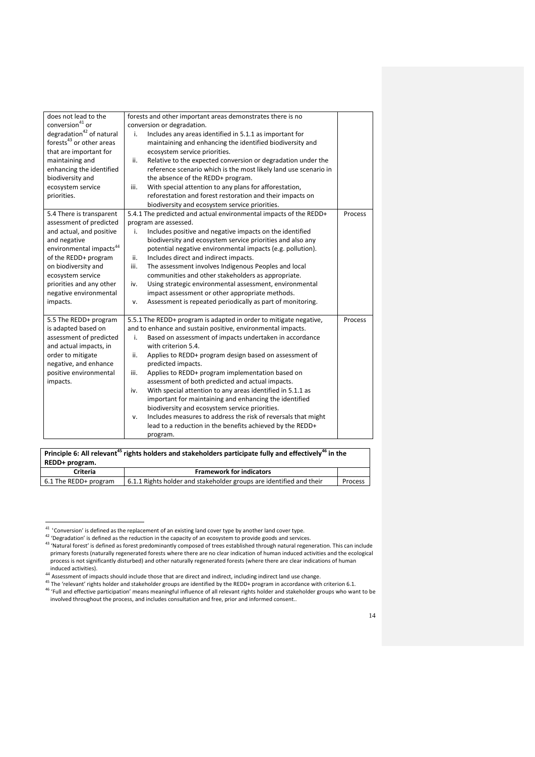| does not lead to the                 | forests and other important areas demonstrates there is no          |         |
|--------------------------------------|---------------------------------------------------------------------|---------|
| conversion <sup>41</sup> or          | conversion or degradation.                                          |         |
| degradation <sup>42</sup> of natural | Includes any areas identified in 5.1.1 as important for<br>i.       |         |
| forests <sup>43</sup> or other areas | maintaining and enhancing the identified biodiversity and           |         |
| that are important for               | ecosystem service priorities.                                       |         |
| maintaining and                      | Relative to the expected conversion or degradation under the<br>ii. |         |
| enhancing the identified             | reference scenario which is the most likely land use scenario in    |         |
| biodiversity and                     | the absence of the REDD+ program.                                   |         |
| ecosystem service                    | iii.<br>With special attention to any plans for afforestation,      |         |
| priorities.                          | reforestation and forest restoration and their impacts on           |         |
|                                      | biodiversity and ecosystem service priorities.                      |         |
| 5.4 There is transparent             | 5.4.1 The predicted and actual environmental impacts of the REDD+   | Process |
| assessment of predicted              | program are assessed.                                               |         |
| and actual, and positive             | Includes positive and negative impacts on the identified<br>i.      |         |
| and negative                         | biodiversity and ecosystem service priorities and also any          |         |
| environmental impacts $^{44}$        | potential negative environmental impacts (e.g. pollution).          |         |
| of the REDD+ program                 | Includes direct and indirect impacts.<br>ii.                        |         |
| on biodiversity and                  | The assessment involves Indigenous Peoples and local<br>iii.        |         |
| ecosystem service                    | communities and other stakeholders as appropriate.                  |         |
| priorities and any other             | Using strategic environmental assessment, environmental<br>iv.      |         |
| negative environmental               | impact assessment or other appropriate methods.                     |         |
| impacts.                             | Assessment is repeated periodically as part of monitoring.<br>v.    |         |
|                                      |                                                                     |         |
| 5.5 The REDD+ program                | 5.5.1 The REDD+ program is adapted in order to mitigate negative,   | Process |
| is adapted based on                  | and to enhance and sustain positive, environmental impacts.         |         |
| assessment of predicted              | Based on assessment of impacts undertaken in accordance<br>i.       |         |
| and actual impacts, in               | with criterion 5.4.                                                 |         |
| order to mitigate                    | ii.<br>Applies to REDD+ program design based on assessment of       |         |
| negative, and enhance                | predicted impacts.                                                  |         |
| positive environmental               | Applies to REDD+ program implementation based on<br>iii.            |         |
| impacts.                             | assessment of both predicted and actual impacts.                    |         |
|                                      | With special attention to any areas identified in 5.1.1 as<br>iv.   |         |
|                                      | important for maintaining and enhancing the identified              |         |
|                                      | biodiversity and ecosystem service priorities.                      |         |
|                                      | Includes measures to address the risk of reversals that might<br>v. |         |
|                                      | lead to a reduction in the benefits achieved by the REDD+           |         |
|                                      | program.                                                            |         |

**Principle 6: All relevant<sup>45</sup> rights holders and stakeholders participate fully and effectively<sup>46</sup> in the REDD+ program. Criteria Framework for indicators**<br> **Framework for indicators**<br> **Framework for indicators Framework for indicators EDGE** 6.1.1 Rights holder and stakeholder groups are identified and their Process

1

 $^{41}$  'Conversion' is defined as the replacement of an existing land cover type by another land cover type.

<sup>&</sup>lt;sup>42</sup> 'Degradation' is defined as the reduction in the capacity of an ecosystem to provide goods and services.

<sup>&</sup>lt;sup>43</sup> 'Natural forest' is defined as forest predominantly composed of trees established through natural regeneration. This can include primary forests (naturally regenerated forests where there are no clear indication of human induced activities and the ecological process is not significantly disturbed) and other naturally regenerated forests (where there are clear indications of human induced activities).

<sup>&</sup>lt;sup>44</sup> Assessment of impacts should include those that are direct and indirect, including indirect land use change.

 $45$  The 'relevant' rights holder and stakeholder groups are identified by the REDD+ program in accordance with criterion 6.1. <sup>46</sup> 'Full and effective participation' means meaningful influence of all relevant rights holder and stakeholder groups who want to be involved throughout the process, and includes consultation and free, prior and informed consent..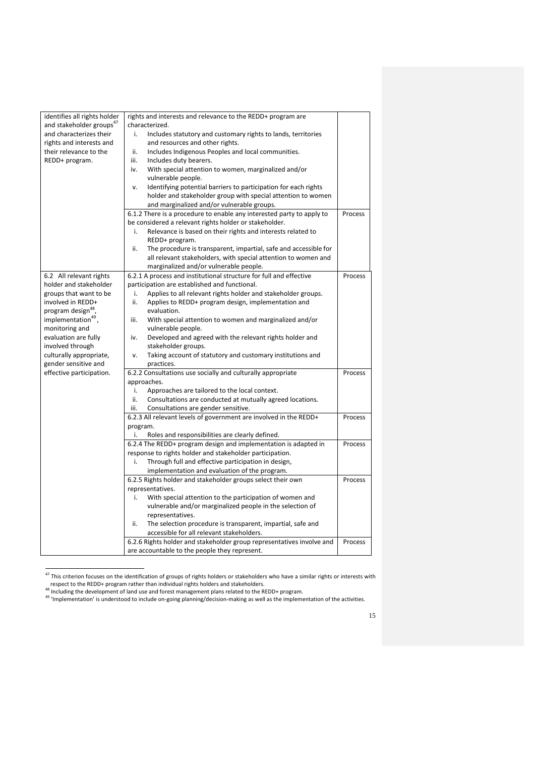| identifies all rights holder         | rights and interests and relevance to the REDD+ program are             |         |  |
|--------------------------------------|-------------------------------------------------------------------------|---------|--|
| and stakeholder groups <sup>47</sup> | characterized.                                                          |         |  |
| and characterizes their              | Includes statutory and customary rights to lands, territories<br>i.     |         |  |
| rights and interests and             | and resources and other rights.                                         |         |  |
| their relevance to the               | Includes Indigenous Peoples and local communities.<br>ii.               |         |  |
| REDD+ program.                       | iii.<br>Includes duty bearers.                                          |         |  |
|                                      | iv.<br>With special attention to women, marginalized and/or             |         |  |
|                                      | vulnerable people.                                                      |         |  |
|                                      | Identifying potential barriers to participation for each rights<br>v.   |         |  |
|                                      | holder and stakeholder group with special attention to women            |         |  |
|                                      | and marginalized and/or vulnerable groups.                              |         |  |
|                                      | 6.1.2 There is a procedure to enable any interested party to apply to   | Process |  |
|                                      | be considered a relevant rights holder or stakeholder.                  |         |  |
|                                      | Relevance is based on their rights and interests related to<br>i.       |         |  |
|                                      | REDD+ program.                                                          |         |  |
|                                      | ii.<br>The procedure is transparent, impartial, safe and accessible for |         |  |
|                                      | all relevant stakeholders, with special attention to women and          |         |  |
|                                      | marginalized and/or vulnerable people.                                  |         |  |
| 6.2 All relevant rights              | 6.2.1 A process and institutional structure for full and effective      | Process |  |
| holder and stakeholder               | participation are established and functional.                           |         |  |
| groups that want to be               | Applies to all relevant rights holder and stakeholder groups.<br>i.     |         |  |
| involved in REDD+                    | ii.<br>Applies to REDD+ program design, implementation and              |         |  |
| program design <sup>48</sup> ,       | evaluation.                                                             |         |  |
| implementation <sup>49</sup> ,       | With special attention to women and marginalized and/or<br>iii.         |         |  |
| monitoring and                       | vulnerable people.                                                      |         |  |
| evaluation are fully                 | Developed and agreed with the relevant rights holder and<br>iv.         |         |  |
| involved through                     | stakeholder groups.                                                     |         |  |
| culturally appropriate,              | Taking account of statutory and customary institutions and<br>v.        |         |  |
| gender sensitive and                 | practices.                                                              |         |  |
| effective participation.             | 6.2.2 Consultations use socially and culturally appropriate             | Process |  |
|                                      | approaches.                                                             |         |  |
|                                      | i.<br>Approaches are tailored to the local context.                     |         |  |
|                                      | ii.<br>Consultations are conducted at mutually agreed locations.        |         |  |
|                                      | iii.<br>Consultations are gender sensitive.                             |         |  |
|                                      | 6.2.3 All relevant levels of government are involved in the REDD+       | Process |  |
|                                      | program.                                                                |         |  |
|                                      | i.<br>Roles and responsibilities are clearly defined.                   |         |  |
|                                      | 6.2.4 The REDD+ program design and implementation is adapted in         | Process |  |
|                                      | response to rights holder and stakeholder participation.                |         |  |
|                                      | Through full and effective participation in design,<br>i.               |         |  |
|                                      | implementation and evaluation of the program.                           |         |  |
|                                      | 6.2.5 Rights holder and stakeholder groups select their own             | Process |  |
|                                      | representatives.                                                        |         |  |
|                                      | i.<br>With special attention to the participation of women and          |         |  |
|                                      | vulnerable and/or marginalized people in the selection of               |         |  |
|                                      | representatives.                                                        |         |  |
|                                      | The selection procedure is transparent, impartial, safe and<br>ii.      |         |  |
|                                      | accessible for all relevant stakeholders.                               |         |  |
|                                      | 6.2.6 Rights holder and stakeholder group representatives involve and   | Process |  |
|                                      | are accountable to the people they represent.                           |         |  |

<sup>&</sup>lt;u>.</u>  $^{47}$  This criterion focuses on the identification of groups of rights holders or stakeholders who have a similar rights or interests with

respect to the REDD+ program rather than individual rights holders and stakeholders.<br><sup>48</sup> Including the development of land use and forest management plans related to the REDD+ program.

<sup>&</sup>lt;sup>49</sup> 'Implementation' is understood to include on-going planning/decision-making as well as the implementation of the activities.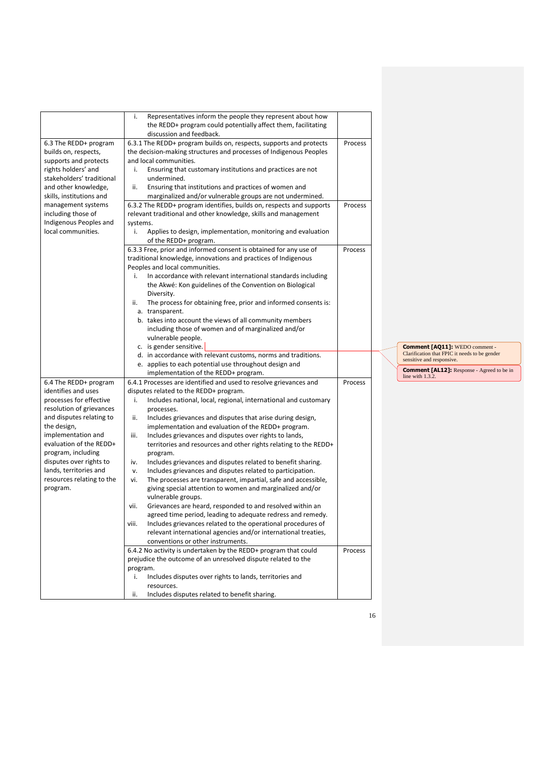|                                              | Representatives inform the people they represent about how<br>i.                |         |                                                                                        |
|----------------------------------------------|---------------------------------------------------------------------------------|---------|----------------------------------------------------------------------------------------|
|                                              | the REDD+ program could potentially affect them, facilitating                   |         |                                                                                        |
|                                              | discussion and feedback.                                                        |         |                                                                                        |
| 6.3 The REDD+ program                        | 6.3.1 The REDD+ program builds on, respects, supports and protects              | Process |                                                                                        |
| builds on, respects,                         | the decision-making structures and processes of Indigenous Peoples              |         |                                                                                        |
| supports and protects<br>rights holders' and | and local communities.<br>i.                                                    |         |                                                                                        |
| stakeholders' traditional                    | Ensuring that customary institutions and practices are not<br>undermined.       |         |                                                                                        |
| and other knowledge,                         | Ensuring that institutions and practices of women and<br>ii.                    |         |                                                                                        |
| skills, institutions and                     | marginalized and/or vulnerable groups are not undermined.                       |         |                                                                                        |
| management systems                           | 6.3.2 The REDD+ program identifies, builds on, respects and supports            | Process |                                                                                        |
| including those of                           | relevant traditional and other knowledge, skills and management                 |         |                                                                                        |
| Indigenous Peoples and                       | systems.                                                                        |         |                                                                                        |
| local communities.                           | i.<br>Applies to design, implementation, monitoring and evaluation              |         |                                                                                        |
|                                              | of the REDD+ program.                                                           |         |                                                                                        |
|                                              | 6.3.3 Free, prior and informed consent is obtained for any use of               | Process |                                                                                        |
|                                              | traditional knowledge, innovations and practices of Indigenous                  |         |                                                                                        |
|                                              | Peoples and local communities.                                                  |         |                                                                                        |
|                                              | In accordance with relevant international standards including<br>j.             |         |                                                                                        |
|                                              | the Akwé: Kon guidelines of the Convention on Biological                        |         |                                                                                        |
|                                              | Diversity.                                                                      |         |                                                                                        |
|                                              | The process for obtaining free, prior and informed consents is:<br>ii.          |         |                                                                                        |
|                                              | a. transparent.                                                                 |         |                                                                                        |
|                                              | b. takes into account the views of all community members                        |         |                                                                                        |
|                                              | including those of women and of marginalized and/or                             |         |                                                                                        |
|                                              | vulnerable people.<br>c. is gender sensitive.                                   |         |                                                                                        |
|                                              | d. in accordance with relevant customs, norms and traditions.                   |         | <b>Comment [AQ11]:</b> WEDO comment -<br>Clarification that FPIC it needs to be gender |
|                                              | e. applies to each potential use throughout design and                          |         | sensitive and responsive.                                                              |
|                                              | implementation of the REDD+ program.                                            |         | <b>Comment [AL12]:</b> Response - Agreed to be in                                      |
| 6.4 The REDD+ program                        | 6.4.1 Processes are identified and used to resolve grievances and               | Process | line with 1.3.2.                                                                       |
| identifies and uses                          | disputes related to the REDD+ program.                                          |         |                                                                                        |
| processes for effective                      | Includes national, local, regional, international and customary<br>i.           |         |                                                                                        |
| resolution of grievances                     | processes.                                                                      |         |                                                                                        |
| and disputes relating to                     | Includes grievances and disputes that arise during design,<br>ii.               |         |                                                                                        |
| the design,                                  | implementation and evaluation of the REDD+ program.                             |         |                                                                                        |
| implementation and                           | Includes grievances and disputes over rights to lands,<br>iii.                  |         |                                                                                        |
| evaluation of the REDD+                      | territories and resources and other rights relating to the REDD+                |         |                                                                                        |
| program, including                           | program.                                                                        |         |                                                                                        |
| disputes over rights to                      | Includes grievances and disputes related to benefit sharing.<br>iv.             |         |                                                                                        |
| lands, territories and                       | Includes grievances and disputes related to participation.<br>۷.                |         |                                                                                        |
| resources relating to the                    | The processes are transparent, impartial, safe and accessible,<br>vi.           |         |                                                                                        |
| program.                                     | giving special attention to women and marginalized and/or<br>vulnerable groups. |         |                                                                                        |
|                                              | Grievances are heard, responded to and resolved within an<br>vii.               |         |                                                                                        |
|                                              | agreed time period, leading to adequate redress and remedy.                     |         |                                                                                        |
|                                              | Includes grievances related to the operational procedures of<br>viii.           |         |                                                                                        |
|                                              | relevant international agencies and/or international treaties,                  |         |                                                                                        |
|                                              | conventions or other instruments.                                               |         |                                                                                        |
|                                              | 6.4.2 No activity is undertaken by the REDD+ program that could                 | Process |                                                                                        |
|                                              | prejudice the outcome of an unresolved dispute related to the                   |         |                                                                                        |
|                                              | program.                                                                        |         |                                                                                        |
|                                              | Includes disputes over rights to lands, territories and<br>i.                   |         |                                                                                        |
|                                              | resources.                                                                      |         |                                                                                        |
|                                              | Includes disputes related to benefit sharing.<br>ii.                            |         |                                                                                        |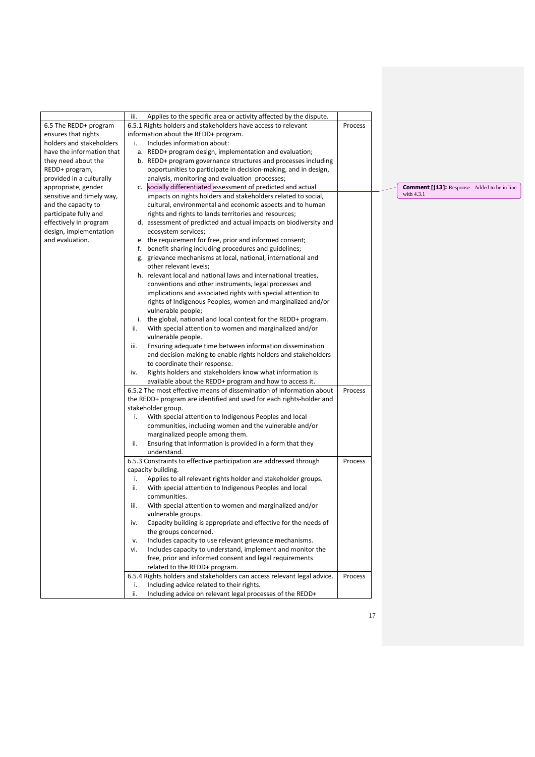|                           | Applies to the specific area or activity affected by the dispute.<br>iii. |         |                                                                    |
|---------------------------|---------------------------------------------------------------------------|---------|--------------------------------------------------------------------|
| 6.5 The REDD+ program     | 6.5.1 Rights holders and stakeholders have access to relevant             | Process |                                                                    |
| ensures that rights       | information about the REDD+ program.                                      |         |                                                                    |
| holders and stakeholders  | Includes information about:<br>i.                                         |         |                                                                    |
| have the information that | a. REDD+ program design, implementation and evaluation;                   |         |                                                                    |
| they need about the       | b. REDD+ program governance structures and processes including            |         |                                                                    |
| REDD+ program,            | opportunities to participate in decision-making, and in design,           |         |                                                                    |
| provided in a culturally  | analysis, monitoring and evaluation processes;                            |         |                                                                    |
| appropriate, gender       | c. socially differentiated assessment of predicted and actual             |         | <b>Comment [j13]:</b> Response - Added to be in line<br>with 4.3.1 |
| sensitive and timely way, | impacts on rights holders and stakeholders related to social,             |         |                                                                    |
| and the capacity to       | cultural, environmental and economic aspects and to human                 |         |                                                                    |
| participate fully and     | rights and rights to lands territories and resources;                     |         |                                                                    |
| effectively in program    | d. assessment of predicted and actual impacts on biodiversity and         |         |                                                                    |
| design, implementation    | ecosystem services;                                                       |         |                                                                    |
| and evaluation.           | e. the requirement for free, prior and informed consent;                  |         |                                                                    |
|                           | f. benefit-sharing including procedures and guidelines;                   |         |                                                                    |
|                           | g. grievance mechanisms at local, national, international and             |         |                                                                    |
|                           | other relevant levels;                                                    |         |                                                                    |
|                           | h. relevant local and national laws and international treaties,           |         |                                                                    |
|                           | conventions and other instruments, legal processes and                    |         |                                                                    |
|                           | implications and associated rights with special attention to              |         |                                                                    |
|                           | rights of Indigenous Peoples, women and marginalized and/or               |         |                                                                    |
|                           | vulnerable people;                                                        |         |                                                                    |
|                           | i. the global, national and local context for the REDD+ program.          |         |                                                                    |
|                           | With special attention to women and marginalized and/or<br>ii.            |         |                                                                    |
|                           | vulnerable people.                                                        |         |                                                                    |
|                           | Ensuring adequate time between information dissemination<br>iii.          |         |                                                                    |
|                           | and decision-making to enable rights holders and stakeholders             |         |                                                                    |
|                           | to coordinate their response.                                             |         |                                                                    |
|                           | Rights holders and stakeholders know what information is<br>iv.           |         |                                                                    |
|                           | available about the REDD+ program and how to access it.                   |         |                                                                    |
|                           | 6.5.2 The most effective means of dissemination of information about      | Process |                                                                    |
|                           | the REDD+ program are identified and used for each rights-holder and      |         |                                                                    |
|                           | stakeholder group.                                                        |         |                                                                    |
|                           | i.<br>With special attention to Indigenous Peoples and local              |         |                                                                    |
|                           | communities, including women and the vulnerable and/or                    |         |                                                                    |
|                           | marginalized people among them.                                           |         |                                                                    |
|                           | Ensuring that information is provided in a form that they<br>ii.          |         |                                                                    |
|                           | understand.                                                               |         |                                                                    |
|                           | 6.5.3 Constraints to effective participation are addressed through        | Process |                                                                    |
|                           | capacity building.                                                        |         |                                                                    |
|                           | Applies to all relevant rights holder and stakeholder groups.<br>i.       |         |                                                                    |
|                           | With special attention to Indigenous Peoples and local<br>ii.             |         |                                                                    |
|                           | communities.                                                              |         |                                                                    |
|                           | With special attention to women and marginalized and/or<br>iii.           |         |                                                                    |
|                           | vulnerable groups.                                                        |         |                                                                    |
|                           | Capacity building is appropriate and effective for the needs of<br>iv.    |         |                                                                    |
|                           | the groups concerned.                                                     |         |                                                                    |
|                           | Includes capacity to use relevant grievance mechanisms.<br>v.             |         |                                                                    |
|                           | Includes capacity to understand, implement and monitor the<br>vi.         |         |                                                                    |
|                           | free, prior and informed consent and legal requirements                   |         |                                                                    |
|                           | related to the REDD+ program.                                             |         |                                                                    |
|                           | 6.5.4 Rights holders and stakeholders can access relevant legal advice.   | Process |                                                                    |
|                           | Including advice related to their rights.<br>i.                           |         |                                                                    |
|                           | ii.<br>Including advice on relevant legal processes of the REDD+          |         |                                                                    |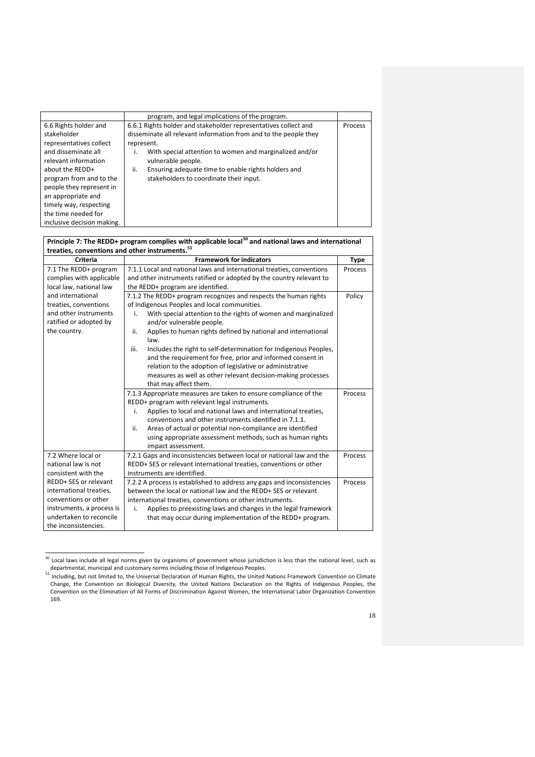|                            | program, and legal implications of the program.                  |  |
|----------------------------|------------------------------------------------------------------|--|
| 6.6 Rights holder and      | 6.6.1 Rights holder and stakeholder representatives collect and  |  |
| stakeholder                | disseminate all relevant information from and to the people they |  |
| representatives collect    | represent.                                                       |  |
| and disseminate all        | With special attention to women and marginalized and/or<br>۱.    |  |
| relevant information       | vulnerable people.                                               |  |
| about the REDD+            | Ensuring adequate time to enable rights holders and<br>ii.       |  |
| program from and to the    | stakeholders to coordinate their input.                          |  |
| people they represent in   |                                                                  |  |
| an appropriate and         |                                                                  |  |
| timely way, respecting     |                                                                  |  |
| the time needed for        |                                                                  |  |
| inclusive decision making. |                                                                  |  |

| Principle 7: The REDD+ program complies with applicable local <sup>50</sup> and national laws and international |                                                                          |         |  |
|-----------------------------------------------------------------------------------------------------------------|--------------------------------------------------------------------------|---------|--|
| treaties, conventions and other instruments. <sup>51</sup>                                                      |                                                                          |         |  |
| Criteria                                                                                                        | <b>Framework for indicators</b>                                          |         |  |
| 7.1 The REDD+ program                                                                                           | 7.1.1 Local and national laws and international treaties, conventions    |         |  |
| complies with applicable                                                                                        | and other instruments ratified or adopted by the country relevant to     |         |  |
| local law, national law                                                                                         | the REDD+ program are identified.                                        |         |  |
| and international                                                                                               | 7.1.2 The REDD+ program recognizes and respects the human rights         |         |  |
| treaties, conventions                                                                                           | of Indigenous Peoples and local communities.                             |         |  |
| and other instruments                                                                                           | With special attention to the rights of women and marginalized<br>i.     |         |  |
| ratified or adopted by                                                                                          | and/or vulnerable people.                                                |         |  |
| the country.                                                                                                    | Applies to human rights defined by national and international<br>ii.     |         |  |
|                                                                                                                 | law.                                                                     |         |  |
|                                                                                                                 | Includes the right to self-determination for Indigenous Peoples,<br>iii. |         |  |
|                                                                                                                 | and the requirement for free, prior and informed consent in              |         |  |
|                                                                                                                 | relation to the adoption of legislative or administrative                |         |  |
|                                                                                                                 | measures as well as other relevant decision-making processes             |         |  |
|                                                                                                                 | that may affect them.                                                    |         |  |
|                                                                                                                 | 7.1.3 Appropriate measures are taken to ensure compliance of the         | Process |  |
|                                                                                                                 | REDD+ program with relevant legal instruments.                           |         |  |
|                                                                                                                 | Applies to local and national laws and international treaties,<br>i.     |         |  |
|                                                                                                                 | conventions and other instruments identified in 7.1.1.                   |         |  |
|                                                                                                                 | Areas of actual or potential non-compliance are identified<br>ii.        |         |  |
|                                                                                                                 | using appropriate assessment methods, such as human rights               |         |  |
|                                                                                                                 | impact assessment.                                                       |         |  |
| 7.2 Where local or                                                                                              | 7.2.1 Gaps and inconsistencies between local or national law and the     | Process |  |
| national law is not                                                                                             | REDD+ SES or relevant international treaties, conventions or other       |         |  |
| consistent with the                                                                                             | instruments are identified.                                              |         |  |
| REDD+ SES or relevant                                                                                           | 7.2.2 A process is established to address any gaps and inconsistencies   | Process |  |
| international treaties,                                                                                         | between the local or national law and the REDD+ SES or relevant          |         |  |
| conventions or other                                                                                            | international treaties, conventions or other instruments.                |         |  |
| instruments, a process is                                                                                       | Applies to preexisting laws and changes in the legal framework<br>i.     |         |  |
| undertaken to reconcile                                                                                         | that may occur during implementation of the REDD+ program.               |         |  |
| the inconsistencies.                                                                                            |                                                                          |         |  |

 $^{50}$  Local laws include all legal norms given by organisms of government whose jurisdiction is less than the national level, such as

departmental, municipal and customary norms including those of Indigenous Peoples.<br><sup>51</sup> Including, but not limited to, the Universal Declaration of Human Rights, the United Nations Framework Convention on Climate Change, the Convention on Biological Diversity, the United Nations Declaration on the Rights of Indigenous Peoples, the Convention on the Elimination of All Forms of Discrimination Against Women, the International Labor Organization Convention 169.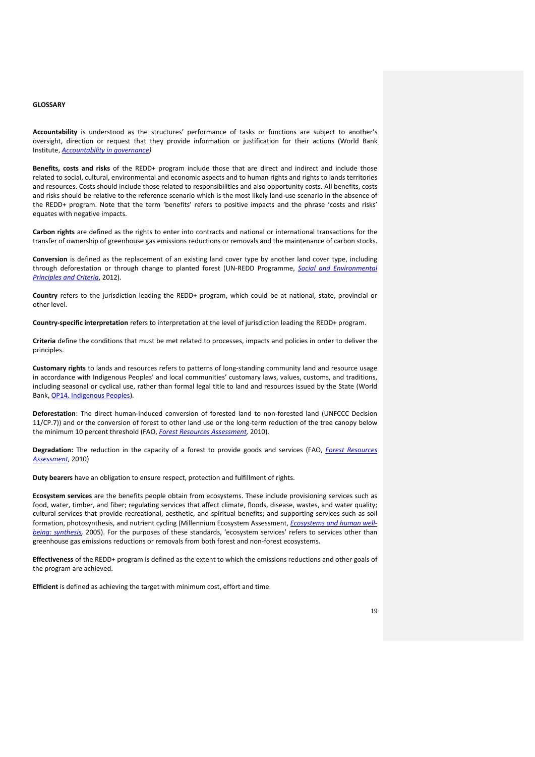#### **GLOSSARY**

**Accountability** is understood as the structures' performance of tasks or functions are subject to another's oversight, direction or request that they provide information or justification for their actions (World Bank Institute, *[Accountability in governance\)](http://siteresources.worldbank.org/PUBLICSECTORANDGOVERNANCE/Resources/AccountabilityGovernance.pdf)*

**Benefits, costs and risks** of the REDD+ program include those that are direct and indirect and include those related to social, cultural, environmental and economic aspects and to human rights and rights to lands territories and resources. Costs should include those related to responsibilities and also opportunity costs. All benefits, costs and risks should be relative to the reference scenario which is the most likely land-use scenario in the absence of the REDD+ program. Note that the term 'benefits' refers to positive impacts and the phrase 'costs and risks' equates with negative impacts.

**Carbon rights** are defined as the rights to enter into contracts and national or international transactions for the transfer of ownership of greenhouse gas emissions reductions or removals and the maintenance of carbon stocks.

**Conversion** is defined as the replacement of an existing land cover type by another land cover type, including through deforestation or through change to planted forest (UN-REDD Programme, *[Social and Environmental](http://www.un-redd.org/Multiple_Benefits_SEPC/tabid/54130/Default.aspx)  [Principles and Criteria](http://www.un-redd.org/Multiple_Benefits_SEPC/tabid/54130/Default.aspx)*, 2012).

**Country** refers to the jurisdiction leading the REDD+ program, which could be at national, state, provincial or other level.

**Country-specific interpretation** refers to interpretation at the level of jurisdiction leading the REDD+ program.

**Criteria** define the conditions that must be met related to processes, impacts and policies in order to deliver the principles.

**Customary rights** to lands and resources refers to patterns of long-standing community land and resource usage in accordance with Indigenous Peoples' and local communities' customary laws, values, customs, and traditions, including seasonal or cyclical use, rather than formal legal title to land and resources issued by the State (World Bank[, OP14. Indigenous Peoples\)](http://web.worldbank.org/WBSITE/EXTERNAL/PROJECTS/EXTPOLICIES/EXTOPMANUAL/0,,print:Y~isCURL:Y~contentMDK:20553653~menuPK:4564185~pagePK:64709096~piPK:64709108~theSitePK:502184,00.html).

**Deforestation**: The direct human-induced conversion of forested land to non-forested land (UNFCCC Decision 11/CP.7)) and or the conversion of forest to other land use or the long-term reduction of the tree canopy below the minimum 10 percent threshold (FAO, *[Forest Resources Assessment,](http://www.fao.org/docrep/014/am665e/am665e00.pdf)* 2010).

**Degradation:** The reduction in the capacity of a forest to provide goods and services (FAO, *[Forest Resources](http://www.fao.org/docrep/014/am665e/am665e00.pdf)  [Assessment,](http://www.fao.org/docrep/014/am665e/am665e00.pdf)* 2010)

**Duty bearers** have an obligation to ensure respect, protection and fulfillment of rights.

**Ecosystem services** are the benefits people obtain from ecosystems. These include provisioning services such as food, water, timber, and fiber; regulating services that affect climate, floods, disease, wastes, and water quality; cultural services that provide recreational, aesthetic, and spiritual benefits; and supporting services such as soil formation, photosynthesis, and nutrient cycling (Millennium Ecosystem Assessment, *[Ecosystems and human well](http://www.maweb.org/documents/document.356.aspx.pdf)[being: synthesis,](http://www.maweb.org/documents/document.356.aspx.pdf)* 2005). For the purposes of these standards, 'ecosystem services' refers to services other than greenhouse gas emissions reductions or removals from both forest and non-forest ecosystems.

**Effectiveness** of the REDD+ program is defined as the extent to which the emissions reductions and other goals of the program are achieved.

**Efficient** is defined as achieving the target with minimum cost, effort and time.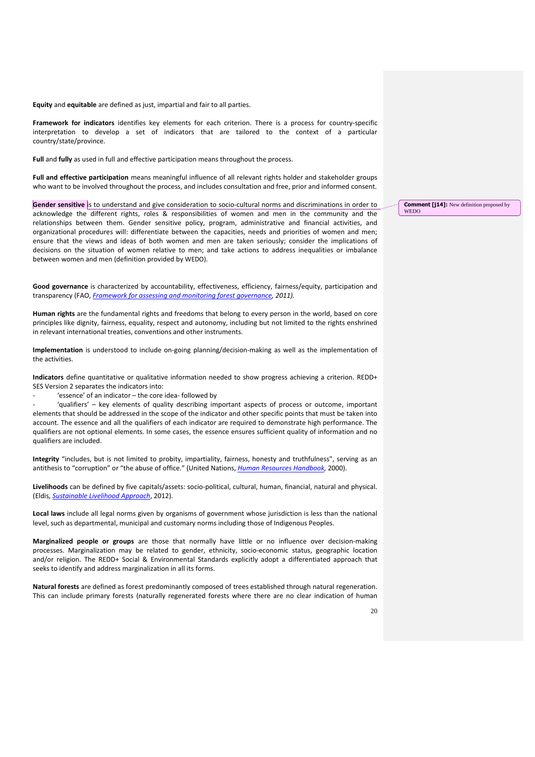**Equity** and **equitable** are defined as just, impartial and fair to all parties.

**Framework for indicators** identifies key elements for each criterion. There is a process for country-specific interpretation to develop a set of indicators that are tailored to the context of a particular country/state/province.

**Full** and **fully** as used in full and effective participation means throughout the process.

**Full and effective participation** means meaningful influence of all relevant rights holder and stakeholder groups who want to be involved throughout the process, and includes consultation and free, prior and informed consent.

**Gender sensitive** is to understand and give consideration to socio-cultural norms and discriminations in order to acknowledge the different rights, roles & responsibilities of women and men in the community and the relationships between them. Gender sensitive policy, program, administrative and financial activities, and organizational procedures will: differentiate between the capacities, needs and priorities of women and men; ensure that the views and ideas of both women and men are taken seriously; consider the implications of decisions on the situation of women relative to men; and take actions to address inequalities or imbalance between women and men (definition provided by WEDO).

**Good governance** is characterized by accountability, effectiveness, efficiency, fairness/equity, participation and transparency (FAO, *[Framework for assessing and monitoring forest governance,](http://www.fao.org/climatechange/27526-0cc61ecc084048c7a9425f64942df70a8.pdf) 2011).*

**Human rights** are the fundamental rights and freedoms that belong to every person in the world, based on core principles like dignity, fairness, equality, respect and autonomy, including but not limited to the rights enshrined in relevant international treaties, conventions and other instruments.

**Implementation** is understood to include on-going planning/decision-making as well as the implementation of the activities.

**Indicators** define quantitative or qualitative information needed to show progress achieving a criterion. REDD+ SES Version 2 separates the indicators into:

- 'essence' of an indicator – the core idea- followed by

'qualifiers' - key elements of quality describing important aspects of process or outcome, important elements that should be addressed in the scope of the indicator and other specific points that must be taken into account. The essence and all the qualifiers of each indicator are required to demonstrate high performance. The qualifiers are not optional elements. In some cases, the essence ensures sufficient quality of information and no qualifiers are included.

**Integrity** "includes, but is not limited to probity, impartiality, fairness, honesty and truthfulness", serving as an antithesis to "corruption" or "the abuse of office." (United Nations, *[Human Resources Handbook,](http://unpan1.un.org/intradoc/groups/public/documents/un/unpan020955.pdf)* 2000).

**Livelihoods** can be defined by five capitals/assets: socio-political, cultural, human, financial, natural and physical. (Eldis*, [Sustainable Livelihood Approach](http://www.eldis.org/go/topics/dossiers/livelihoods-connect/what-are-livelihoods-approaches/livelihoods-assets)*, 2012).

**Local laws** include all legal norms given by organisms of government whose jurisdiction is less than the national level, such as departmental, municipal and customary norms including those of Indigenous Peoples.

**Marginalized people or groups** are those that normally have little or no influence over decision-making processes. Marginalization may be related to gender, ethnicity, socio-economic status, geographic location and/or religion. The REDD+ Social & Environmental Standards explicitly adopt a differentiated approach that seeks to identify and address marginalization in all its forms.

**Natural forests** are defined as forest predominantly composed of trees established through natural regeneration. This can include primary forests (naturally regenerated forests where there are no clear indication of human **Comment [i14]:** New definition proposed by WEDO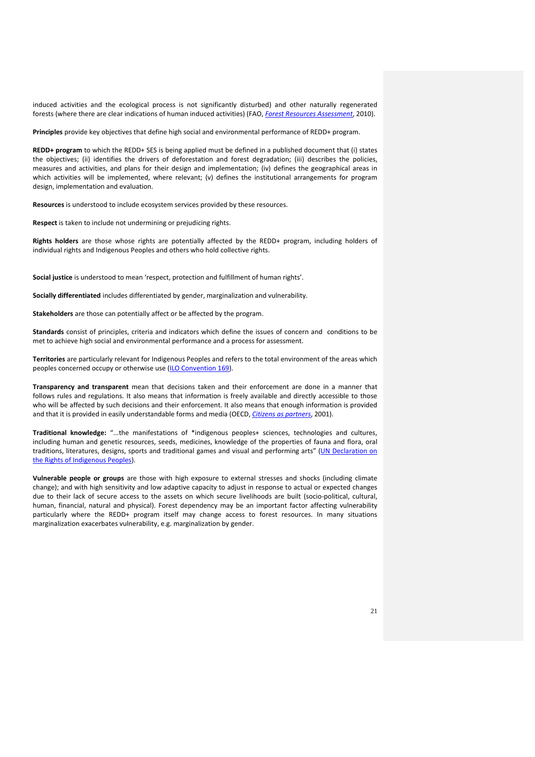induced activities and the ecological process is not significantly disturbed) and other naturally regenerated forests (where there are clear indications of human induced activities) (FAO, *[Forest Resources Assessment](http://www.fao.org/docrep/014/am665e/am665e00.pdf)*, 2010).

**Principles** provide key objectives that define high social and environmental performance of REDD+ program.

**REDD+ program** to which the REDD+ SES is being applied must be defined in a published document that (i) states the objectives; (ii) identifies the drivers of deforestation and forest degradation; (iii) describes the policies, measures and activities, and plans for their design and implementation; (iv) defines the geographical areas in which activities will be implemented, where relevant; (v) defines the institutional arrangements for program design, implementation and evaluation.

**Resources** is understood to include ecosystem services provided by these resources.

**Respect** is taken to include not undermining or prejudicing rights.

**Rights holders** are those whose rights are potentially affected by the REDD+ program, including holders of individual rights and Indigenous Peoples and others who hold collective rights.

**Social justice** is understood to mean 'respect, protection and fulfillment of human rights'.

**Socially differentiated** includes differentiated by gender, marginalization and vulnerability.

**Stakeholders** are those can potentially affect or be affected by the program.

**Standards** consist of principles, criteria and indicators which define the issues of concern and conditions to be met to achieve high social and environmental performance and a process for assessment.

**Territories** are particularly relevant for Indigenous Peoples and refers to the total environment of the areas which peoples concerned occupy or otherwise use [\(ILO Convention 169\)](http://www.ilo.org/ilolex/cgi-lex/convde.pl?C169).

**Transparency and transparent** mean that decisions taken and their enforcement are done in a manner that follows rules and regulations. It also means that information is freely available and directly accessible to those who will be affected by such decisions and their enforcement. It also means that enough information is provided and that it is provided in easily understandable forms and media (OECD, *[Citizens as partners](http://www.ecnl.org/dindocuments/214_OECD_Engaging%20Citizens%20in%20Policy-Making.pdf)*, 2001).

**Traditional knowledge:** "...the manifestations of \*indigenous peoples+ sciences, technologies and cultures, including human and genetic resources, seeds, medicines, knowledge of the properties of fauna and flora, oral traditions, literatures, designs, sports and traditional games and visual and performing arts" (UN Declaration on [the Rights of Indigenous Peoples\)](http://www.un.org/esa/socdev/unpfii/documents/DRIPS_en.pdf).

**Vulnerable people or groups** are those with high exposure to external stresses and shocks (including climate change); and with high sensitivity and low adaptive capacity to adjust in response to actual or expected changes due to their lack of secure access to the assets on which secure livelihoods are built (socio-political, cultural, human, financial, natural and physical). Forest dependency may be an important factor affecting vulnerability particularly where the REDD+ program itself may change access to forest resources. In many situations marginalization exacerbates vulnerability, e.g. marginalization by gender.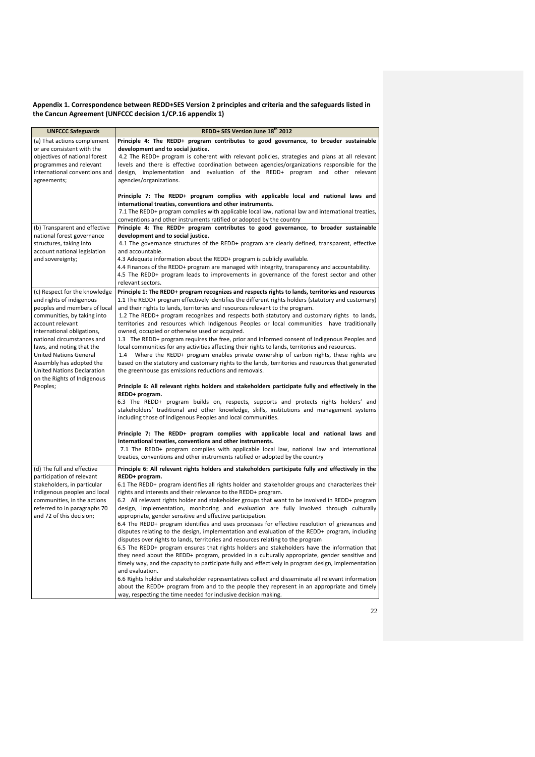# **Appendix 1. Correspondence between REDD+SES Version 2 principles and criteria and the safeguards listed in the Cancun Agreement (UNFCCC decision 1/CP.16 appendix 1)**

| <b>UNFCCC Safeguards</b>                                 | REDD+ SES Version June 18 <sup>th</sup> 2012                                                                                                                                 |
|----------------------------------------------------------|------------------------------------------------------------------------------------------------------------------------------------------------------------------------------|
| (a) That actions complement                              | Principle 4: The REDD+ program contributes to good governance, to broader sustainable                                                                                        |
| or are consistent with the                               | development and to social justice.                                                                                                                                           |
| objectives of national forest                            | 4.2 The REDD+ program is coherent with relevant policies, strategies and plans at all relevant                                                                               |
| programmes and relevant                                  | levels and there is effective coordination between agencies/organizations responsible for the                                                                                |
| international conventions and                            | design, implementation and evaluation of the REDD+ program and other relevant                                                                                                |
| agreements;                                              | agencies/organizations.                                                                                                                                                      |
|                                                          | Principle 7: The REDD+ program complies with applicable local and national laws and<br>international treaties, conventions and other instruments.                            |
|                                                          | 7.1 The REDD+ program complies with applicable local law, national law and international treaties,<br>conventions and other instruments ratified or adopted by the country   |
| (b) Transparent and effective                            | Principle 4: The REDD+ program contributes to good governance, to broader sustainable                                                                                        |
| national forest governance                               | development and to social justice.                                                                                                                                           |
| structures, taking into                                  | 4.1 The governance structures of the REDD+ program are clearly defined, transparent, effective                                                                               |
| account national legislation                             | and accountable.                                                                                                                                                             |
| and sovereignty;                                         | 4.3 Adequate information about the REDD+ program is publicly available.                                                                                                      |
|                                                          | 4.4 Finances of the REDD+ program are managed with integrity, transparency and accountability.                                                                               |
|                                                          | 4.5 The REDD+ program leads to improvements in governance of the forest sector and other                                                                                     |
|                                                          | relevant sectors.                                                                                                                                                            |
| (c) Respect for the knowledge                            | Principle 1: The REDD+ program recognizes and respects rights to lands, territories and resources                                                                            |
| and rights of indigenous<br>peoples and members of local | 1.1 The REDD+ program effectively identifies the different rights holders (statutory and customary)                                                                          |
| communities, by taking into                              | and their rights to lands, territories and resources relevant to the program.<br>1.2 The REDD+ program recognizes and respects both statutory and customary rights to lands, |
| account relevant                                         | territories and resources which Indigenous Peoples or local communities have traditionally                                                                                   |
| international obligations,                               | owned, occupied or otherwise used or acquired.                                                                                                                               |
| national circumstances and                               | 1.3 The REDD+ program requires the free, prior and informed consent of Indigenous Peoples and                                                                                |
| laws, and noting that the                                | local communities for any activities affecting their rights to lands, territories and resources.                                                                             |
| <b>United Nations General</b>                            | Where the REDD+ program enables private ownership of carbon rights, these rights are<br>1.4                                                                                  |
| Assembly has adopted the                                 | based on the statutory and customary rights to the lands, territories and resources that generated                                                                           |
| <b>United Nations Declaration</b>                        | the greenhouse gas emissions reductions and removals.                                                                                                                        |
| on the Rights of Indigenous<br>Peoples;                  | Principle 6: All relevant rights holders and stakeholders participate fully and effectively in the                                                                           |
|                                                          | REDD+ program.                                                                                                                                                               |
|                                                          | 6.3 The REDD+ program builds on, respects, supports and protects rights holders' and                                                                                         |
|                                                          | stakeholders' traditional and other knowledge, skills, institutions and management systems                                                                                   |
|                                                          | including those of Indigenous Peoples and local communities.                                                                                                                 |
|                                                          | Principle 7: The REDD+ program complies with applicable local and national laws and                                                                                          |
|                                                          | international treaties, conventions and other instruments.                                                                                                                   |
|                                                          | 7.1 The REDD+ program complies with applicable local law, national law and international                                                                                     |
|                                                          | treaties, conventions and other instruments ratified or adopted by the country                                                                                               |
| (d) The full and effective                               | Principle 6: All relevant rights holders and stakeholders participate fully and effectively in the                                                                           |
| participation of relevant                                | REDD+ program.                                                                                                                                                               |
| stakeholders, in particular                              | 6.1 The REDD+ program identifies all rights holder and stakeholder groups and characterizes their                                                                            |
| indigenous peoples and local                             | rights and interests and their relevance to the REDD+ program.                                                                                                               |
| communities, in the actions                              | 6.2 All relevant rights holder and stakeholder groups that want to be involved in REDD+ program                                                                              |
| referred to in paragraphs 70                             | design, implementation, monitoring and evaluation are fully involved through culturally                                                                                      |
| and 72 of this decision;                                 | appropriate, gender sensitive and effective participation.<br>6.4 The REDD+ program identifies and uses processes for effective resolution of grievances and                 |
|                                                          | disputes relating to the design, implementation and evaluation of the REDD+ program, including                                                                               |
|                                                          | disputes over rights to lands, territories and resources relating to the program                                                                                             |
|                                                          | 6.5 The REDD+ program ensures that rights holders and stakeholders have the information that                                                                                 |
|                                                          | they need about the REDD+ program, provided in a culturally appropriate, gender sensitive and                                                                                |
|                                                          | timely way, and the capacity to participate fully and effectively in program design, implementation                                                                          |
|                                                          | and evaluation.                                                                                                                                                              |
|                                                          | 6.6 Rights holder and stakeholder representatives collect and disseminate all relevant information                                                                           |
|                                                          | about the REDD+ program from and to the people they represent in an appropriate and timely                                                                                   |
|                                                          | way, respecting the time needed for inclusive decision making.                                                                                                               |